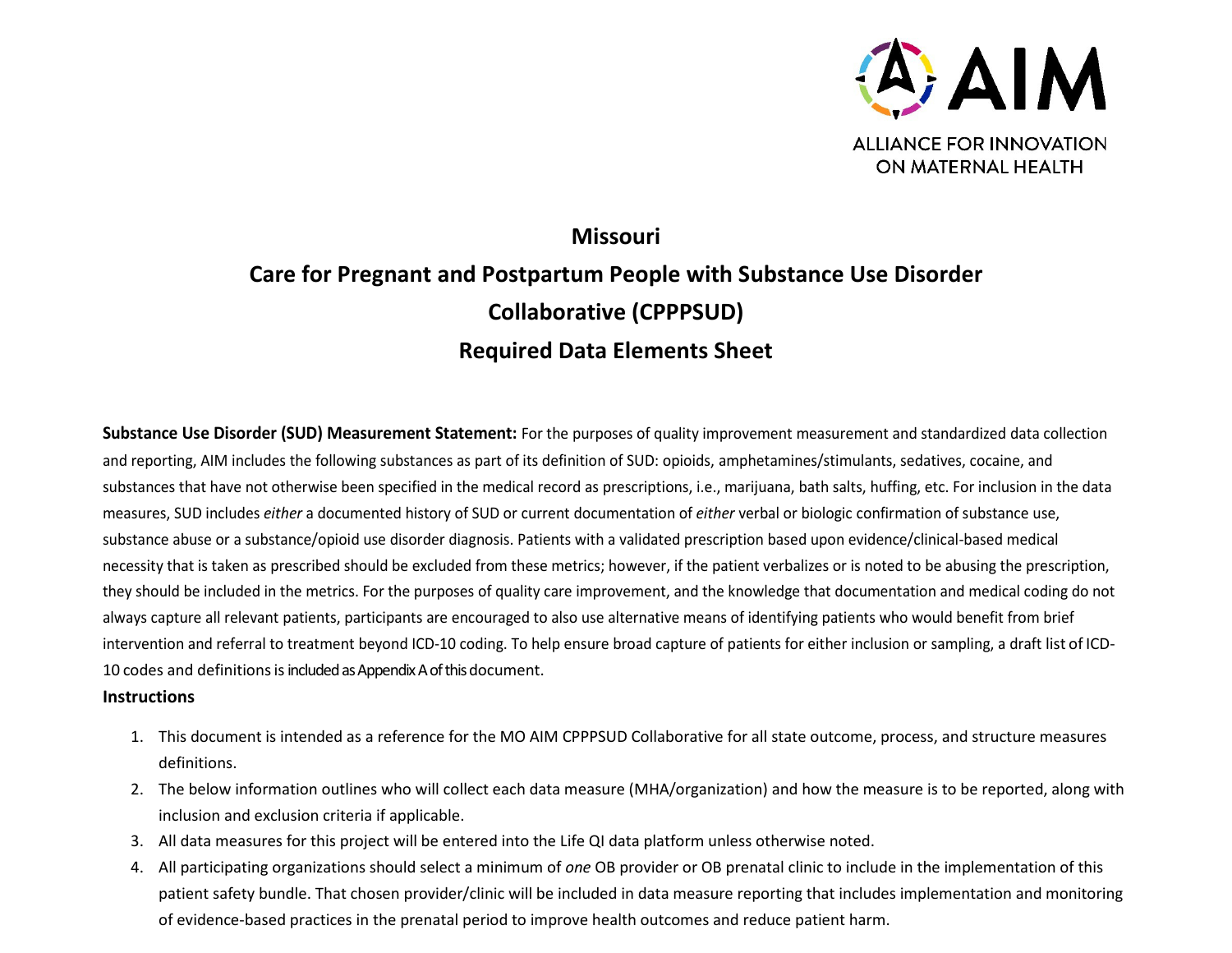

# **Missouri Care for Pregnant and Postpartum People with Substance Use Disorder Collaborative (CPPPSUD) Required Data Elements Sheet**

**Substance Use Disorder (SUD) Measurement Statement:** For the purposes of quality improvement measurement and standardized data collection and reporting, AIM includes the following substances as part of its definition of SUD: opioids, amphetamines/stimulants, sedatives, cocaine, and substances that have not otherwise been specified in the medical record as prescriptions, i.e., marijuana, bath salts, huffing, etc. For inclusion in the data measures, SUD includes *either* a documented history of SUD or current documentation of *either* verbal or biologic confirmation of substance use, substance abuse or a substance/opioid use disorder diagnosis. Patients with a validated prescription based upon evidence/clinical-based medical necessity that is taken as prescribed should be excluded from these metrics; however, if the patient verbalizes or is noted to be abusing the prescription, they should be included in the metrics. For the purposes of quality care improvement, and the knowledge that documentation and medical coding do not always capture all relevant patients, participants are encouraged to also use alternative means of identifying patients who would benefit from brief intervention and referral to treatment beyond ICD-10 coding. To help ensure broad capture of patients for either inclusion or sampling, a draft list of ICD-10 codes and definitions is included as Appendix A of this document.

## **Instructions**

- 1. This document is intended as a reference for the MO AIM CPPPSUD Collaborative for all state outcome, process, and structure measures definitions.
- 2. The below information outlines who will collect each data measure (MHA/organization) and how the measure is to be reported, along with inclusion and exclusion criteria if applicable.
- 3. All data measures for this project will be entered into the Life QI data platform unless otherwise noted.
- 4. All participating organizations should select a minimum of *one* OB provider or OB prenatal clinic to include in the implementation of this patient safety bundle. That chosen provider/clinic will be included in data measure reporting that includes implementation and monitoring of evidence-based practices in the prenatal period to improve health outcomes and reduce patient harm.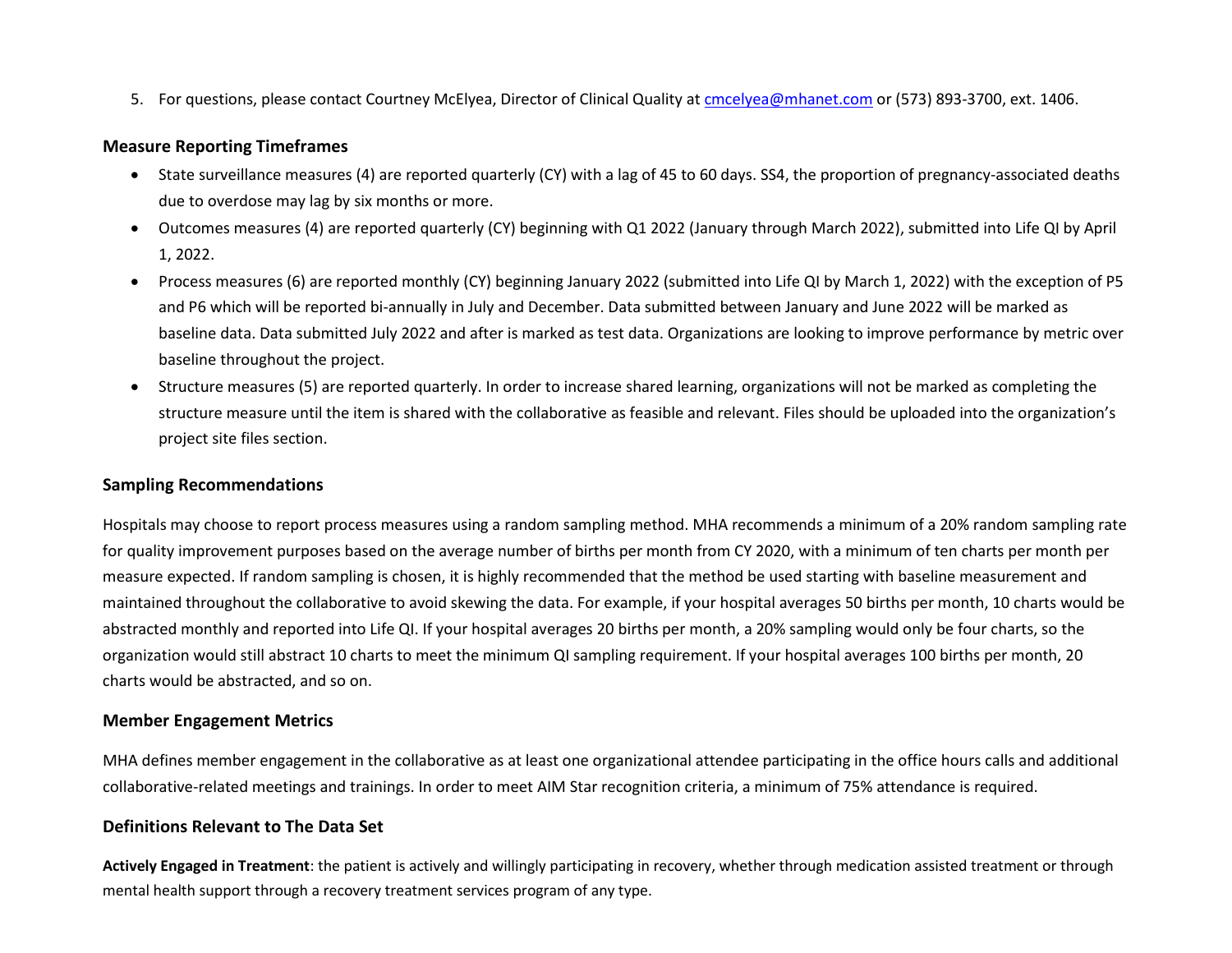5. For questions, please contact Courtney McElyea, Director of Clinical Quality a[t cmcelyea@mhanet.com](mailto:cmcelyea@mhanet.com) or (573) 893-3700, ext. 1406.

#### **Measure Reporting Timeframes**

- State surveillance measures (4) are reported quarterly (CY) with a lag of 45 to 60 days. SS4, the proportion of pregnancy-associated deaths due to overdose may lag by six months or more.
- Outcomes measures (4) are reported quarterly (CY) beginning with Q1 2022 (January through March 2022), submitted into Life QI by April 1, 2022.
- Process measures (6) are reported monthly (CY) beginning January 2022 (submitted into Life QI by March 1, 2022) with the exception of P5 and P6 which will be reported bi-annually in July and December. Data submitted between January and June 2022 will be marked as baseline data. Data submitted July 2022 and after is marked as test data. Organizations are looking to improve performance by metric over baseline throughout the project.
- Structure measures (5) are reported quarterly. In order to increase shared learning, organizations will not be marked as completing the structure measure until the item is shared with the collaborative as feasible and relevant. Files should be uploaded into the organization's project site files section.

## **Sampling Recommendations**

Hospitals may choose to report process measures using a random sampling method. MHA recommends a minimum of a 20% random sampling rate for quality improvement purposes based on the average number of births per month from CY 2020, with a minimum of ten charts per month per measure expected. If random sampling is chosen, it is highly recommended that the method be used starting with baseline measurement and maintained throughout the collaborative to avoid skewing the data. For example, if your hospital averages 50 births per month, 10 charts would be abstracted monthly and reported into Life QI. If your hospital averages 20 births per month, a 20% sampling would only be four charts, so the organization would still abstract 10 charts to meet the minimum QI sampling requirement. If your hospital averages 100 births per month, 20 charts would be abstracted, and so on.

#### **Member Engagement Metrics**

MHA defines member engagement in the collaborative as at least one organizational attendee participating in the office hours calls and additional collaborative-related meetings and trainings. In order to meet AIM Star recognition criteria, a minimum of 75% attendance is required.

## **Definitions Relevant to The Data Set**

**Actively Engaged in Treatment**: the patient is actively and willingly participating in recovery, whether through medication assisted treatment or through mental health support through a recovery treatment services program of any type.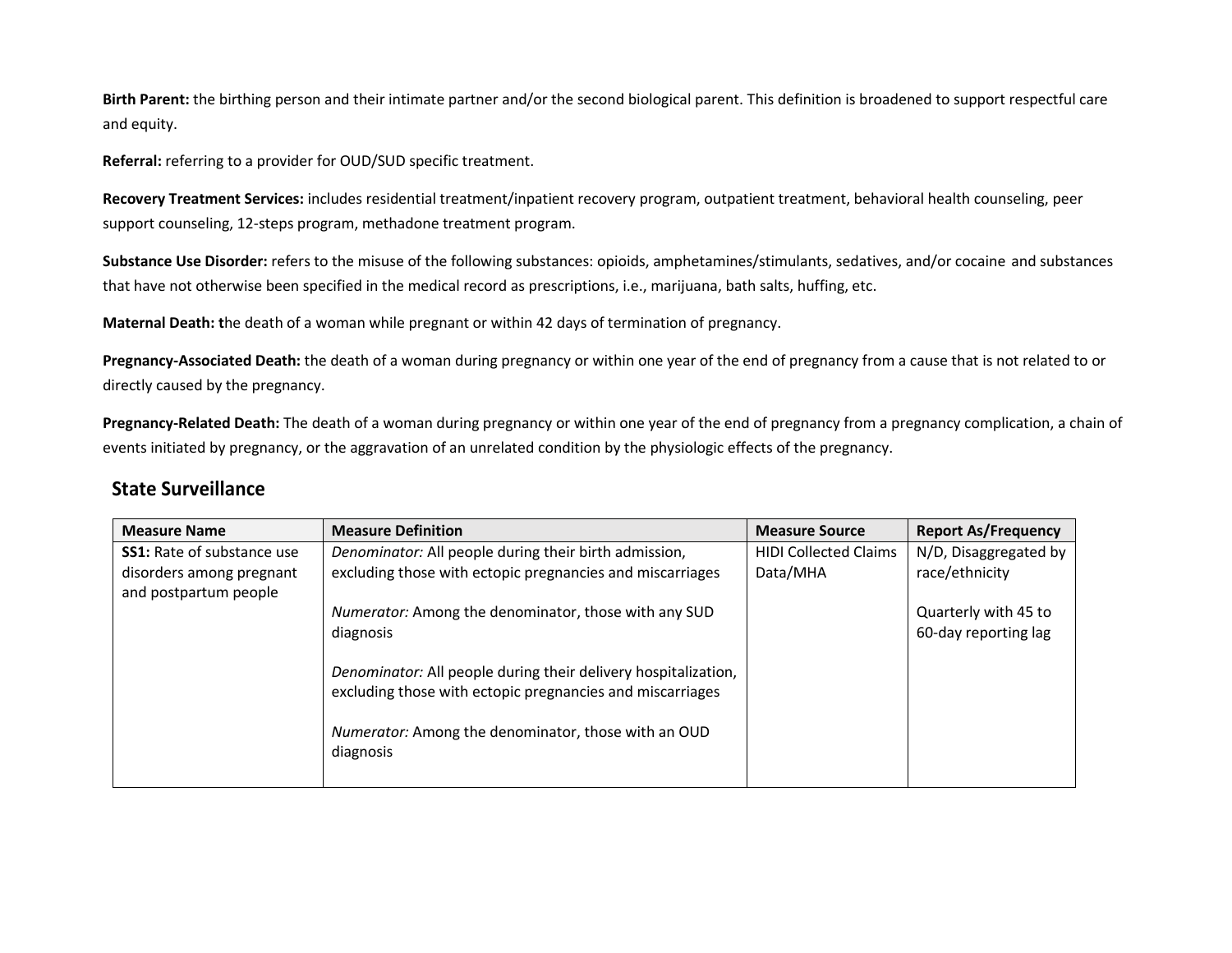**Birth Parent:** the birthing person and their intimate partner and/or the second biological parent. This definition is broadened to support respectful care and equity.

**Referral:** referring to a provider for OUD/SUD specific treatment.

**Recovery Treatment Services:** includes residential treatment/inpatient recovery program, outpatient treatment, behavioral health counseling, peer support counseling, 12-steps program, methadone treatment program.

**Substance Use Disorder:** refers to the misuse of the following substances: opioids, amphetamines/stimulants, sedatives, and/or cocaine and substances that have not otherwise been specified in the medical record as prescriptions, i.e., marijuana, bath salts, huffing, etc.

**Maternal Death: t**he death of a woman while pregnant or within 42 days of termination of pregnancy.

Pregnancy-Associated Death: the death of a woman during pregnancy or within one year of the end of pregnancy from a cause that is not related to or directly caused by the pregnancy.

Pregnancy-Related Death: The death of a woman during pregnancy or within one year of the end of pregnancy from a pregnancy complication, a chain of events initiated by pregnancy, or the aggravation of an unrelated condition by the physiologic effects of the pregnancy.

## **State Surveillance**

| <b>Measure Name</b>                               | <b>Measure Definition</b>                                                                                                   | <b>Measure Source</b>        | <b>Report As/Frequency</b> |
|---------------------------------------------------|-----------------------------------------------------------------------------------------------------------------------------|------------------------------|----------------------------|
| <b>SS1:</b> Rate of substance use                 | Denominator: All people during their birth admission,                                                                       | <b>HIDI Collected Claims</b> | N/D, Disaggregated by      |
| disorders among pregnant<br>and postpartum people | excluding those with ectopic pregnancies and miscarriages                                                                   | Data/MHA                     | race/ethnicity             |
|                                                   | Numerator: Among the denominator, those with any SUD                                                                        |                              | Quarterly with 45 to       |
|                                                   | diagnosis                                                                                                                   |                              | 60-day reporting lag       |
|                                                   | Denominator: All people during their delivery hospitalization,<br>excluding those with ectopic pregnancies and miscarriages |                              |                            |
|                                                   | Numerator: Among the denominator, those with an OUD<br>diagnosis                                                            |                              |                            |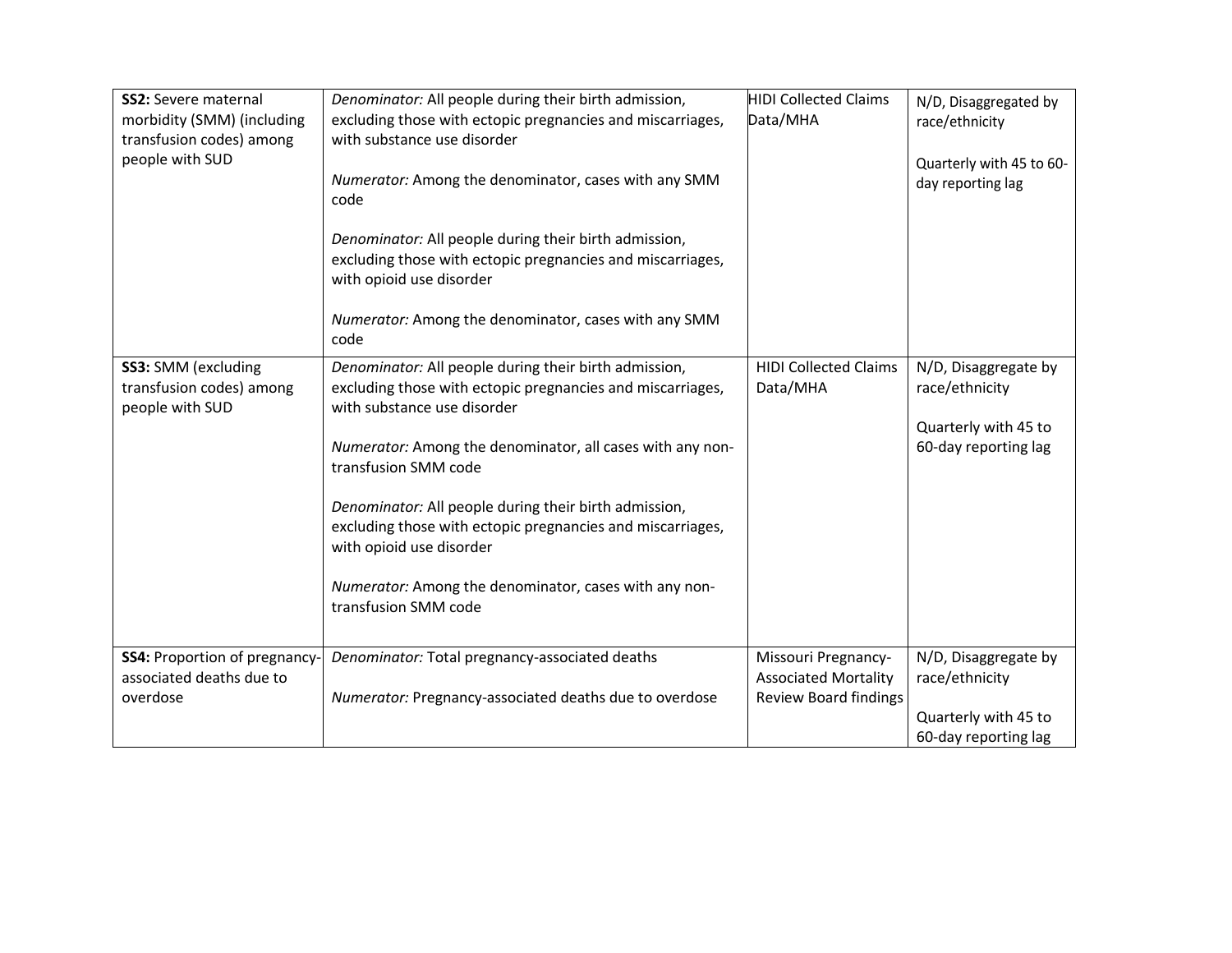| <b>SS2: Severe maternal</b><br>morbidity (SMM) (including<br>transfusion codes) among<br>people with SUD | Denominator: All people during their birth admission,<br>excluding those with ectopic pregnancies and miscarriages,<br>with substance use disorder<br>Numerator: Among the denominator, cases with any SMM<br>code<br>Denominator: All people during their birth admission,<br>excluding those with ectopic pregnancies and miscarriages,<br>with opioid use disorder<br>Numerator: Among the denominator, cases with any SMM<br>code                                       | <b>HIDI Collected Claims</b><br>Data/MHA                                           | N/D, Disaggregated by<br>race/ethnicity<br>Quarterly with 45 to 60-<br>day reporting lag |
|----------------------------------------------------------------------------------------------------------|-----------------------------------------------------------------------------------------------------------------------------------------------------------------------------------------------------------------------------------------------------------------------------------------------------------------------------------------------------------------------------------------------------------------------------------------------------------------------------|------------------------------------------------------------------------------------|------------------------------------------------------------------------------------------|
| SS3: SMM (excluding<br>transfusion codes) among<br>people with SUD                                       | Denominator: All people during their birth admission,<br>excluding those with ectopic pregnancies and miscarriages,<br>with substance use disorder<br>Numerator: Among the denominator, all cases with any non-<br>transfusion SMM code<br>Denominator: All people during their birth admission,<br>excluding those with ectopic pregnancies and miscarriages,<br>with opioid use disorder<br>Numerator: Among the denominator, cases with any non-<br>transfusion SMM code | <b>HIDI Collected Claims</b><br>Data/MHA                                           | N/D, Disaggregate by<br>race/ethnicity<br>Quarterly with 45 to<br>60-day reporting lag   |
| <b>SS4: Proportion of pregnancy-</b><br>associated deaths due to<br>overdose                             | Denominator: Total pregnancy-associated deaths<br>Numerator: Pregnancy-associated deaths due to overdose                                                                                                                                                                                                                                                                                                                                                                    | Missouri Pregnancy-<br><b>Associated Mortality</b><br><b>Review Board findings</b> | N/D, Disaggregate by<br>race/ethnicity<br>Quarterly with 45 to<br>60-day reporting lag   |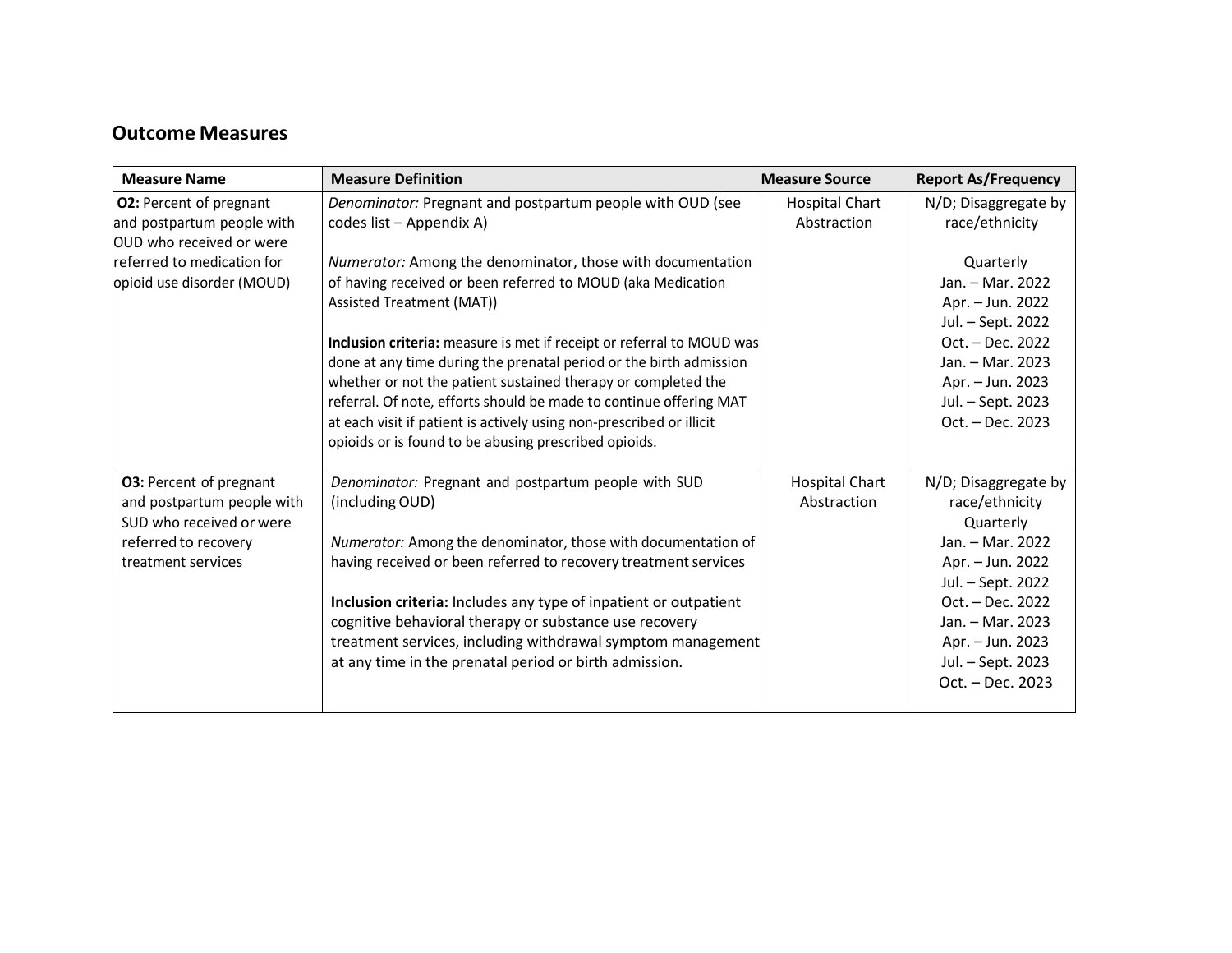## **Outcome Measures**

| <b>Measure Name</b>            | <b>Measure Definition</b>                                             | <b>Measure Source</b> | <b>Report As/Frequency</b> |
|--------------------------------|-----------------------------------------------------------------------|-----------------------|----------------------------|
| <b>O2: Percent of pregnant</b> | Denominator: Pregnant and postpartum people with OUD (see             | <b>Hospital Chart</b> | N/D; Disaggregate by       |
| and postpartum people with     | codes list - Appendix A)                                              | Abstraction           | race/ethnicity             |
| OUD who received or were       |                                                                       |                       |                            |
| referred to medication for     | Numerator: Among the denominator, those with documentation            |                       | Quarterly                  |
| opioid use disorder (MOUD)     | of having received or been referred to MOUD (aka Medication           |                       | Jan. - Mar. 2022           |
|                                | Assisted Treatment (MAT))                                             |                       | Apr. - Jun. 2022           |
|                                |                                                                       |                       | Jul. - Sept. 2022          |
|                                | Inclusion criteria: measure is met if receipt or referral to MOUD was |                       | Oct. - Dec. 2022           |
|                                | done at any time during the prenatal period or the birth admission    |                       | Jan. - Mar. 2023           |
|                                | whether or not the patient sustained therapy or completed the         |                       | Apr. - Jun. 2023           |
|                                | referral. Of note, efforts should be made to continue offering MAT    |                       | Jul. - Sept. 2023          |
|                                | at each visit if patient is actively using non-prescribed or illicit  |                       | Oct. - Dec. 2023           |
|                                | opioids or is found to be abusing prescribed opioids.                 |                       |                            |
| <b>O3: Percent of pregnant</b> | Denominator: Pregnant and postpartum people with SUD                  | <b>Hospital Chart</b> | N/D; Disaggregate by       |
| and postpartum people with     | (including OUD)                                                       | Abstraction           | race/ethnicity             |
| SUD who received or were       |                                                                       |                       | Quarterly                  |
| referred to recovery           | Numerator: Among the denominator, those with documentation of         |                       | Jan. - Mar. 2022           |
| treatment services             | having received or been referred to recovery treatment services       |                       | Apr. - Jun. 2022           |
|                                |                                                                       |                       | Jul. - Sept. 2022          |
|                                | Inclusion criteria: Includes any type of inpatient or outpatient      |                       | Oct. - Dec. 2022           |
|                                | cognitive behavioral therapy or substance use recovery                |                       | Jan. - Mar. 2023           |
|                                | treatment services, including withdrawal symptom management           |                       | Apr. - Jun. 2023           |
|                                | at any time in the prenatal period or birth admission.                |                       | Jul. - Sept. 2023          |
|                                |                                                                       |                       | Oct. - Dec. 2023           |
|                                |                                                                       |                       |                            |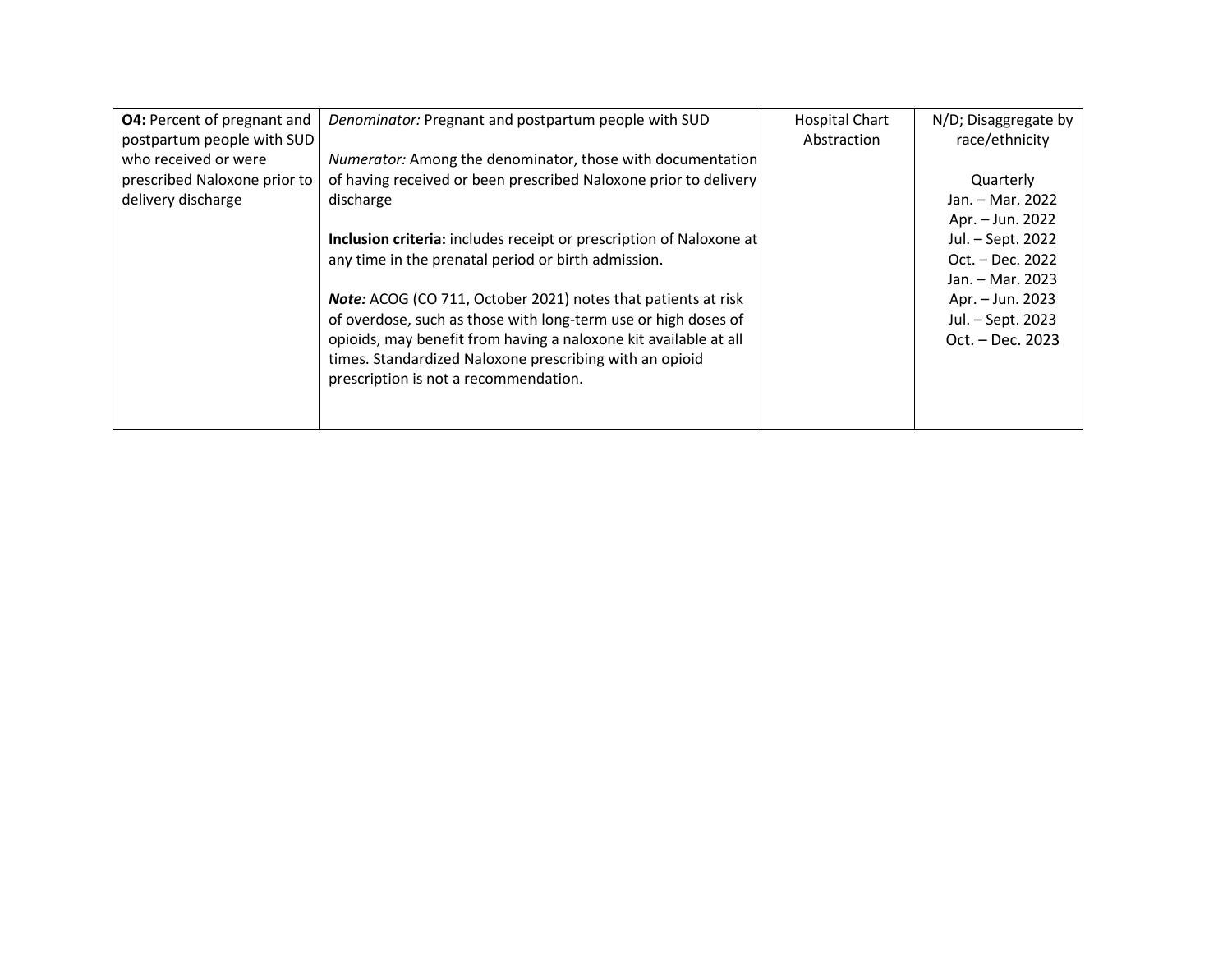| <b>O4:</b> Percent of pregnant and | Denominator: Pregnant and postpartum people with SUD                | <b>Hospital Chart</b> | N/D; Disaggregate by |
|------------------------------------|---------------------------------------------------------------------|-----------------------|----------------------|
| postpartum people with SUD         |                                                                     | Abstraction           | race/ethnicity       |
| who received or were               | Numerator: Among the denominator, those with documentation          |                       |                      |
| prescribed Naloxone prior to       | of having received or been prescribed Naloxone prior to delivery    |                       | Quarterly            |
| delivery discharge                 | discharge                                                           |                       | Jan. – Mar. 2022     |
|                                    |                                                                     |                       | Apr. – Jun. 2022     |
|                                    | Inclusion criteria: includes receipt or prescription of Naloxone at |                       | Jul. – Sept. 2022    |
|                                    | any time in the prenatal period or birth admission.                 |                       | Oct. – Dec. 2022     |
|                                    |                                                                     |                       | Jan. – Mar. 2023     |
|                                    | Note: ACOG (CO 711, October 2021) notes that patients at risk       |                       | Apr. – Jun. 2023     |
|                                    | of overdose, such as those with long-term use or high doses of      |                       | Jul. - Sept. 2023    |
|                                    | opioids, may benefit from having a naloxone kit available at all    |                       | Oct. – Dec. 2023     |
|                                    | times. Standardized Naloxone prescribing with an opioid             |                       |                      |
|                                    | prescription is not a recommendation.                               |                       |                      |
|                                    |                                                                     |                       |                      |
|                                    |                                                                     |                       |                      |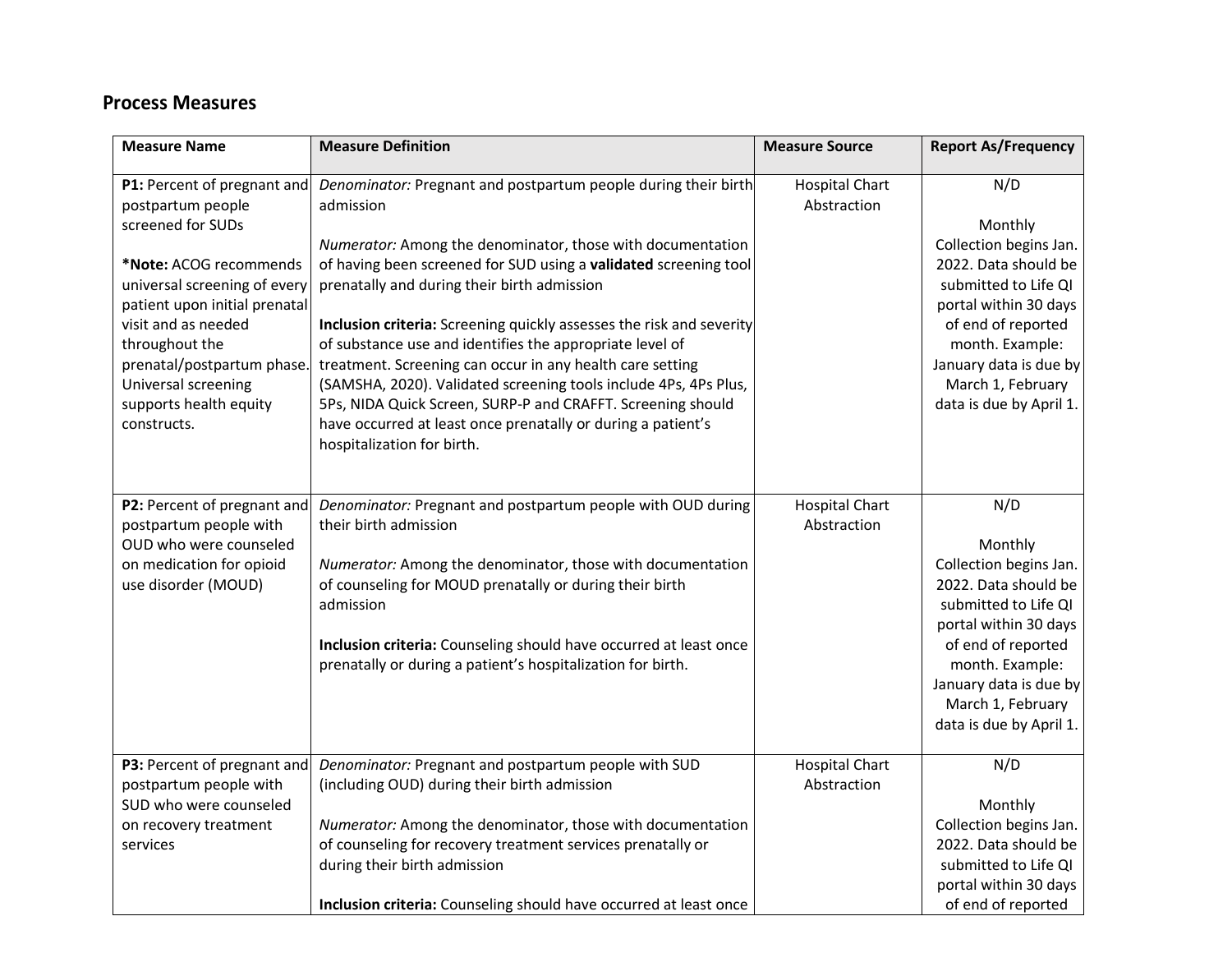# **Process Measures**

| <b>Measure Name</b>                                                                                                                                                                                                                                                      | <b>Measure Definition</b>                                                                                                                                                                                                                                                                                                                                                                                                                                                                                                                                                                                                                                                                                                  | <b>Measure Source</b>                | <b>Report As/Frequency</b>                                                                                                                                                                                                           |
|--------------------------------------------------------------------------------------------------------------------------------------------------------------------------------------------------------------------------------------------------------------------------|----------------------------------------------------------------------------------------------------------------------------------------------------------------------------------------------------------------------------------------------------------------------------------------------------------------------------------------------------------------------------------------------------------------------------------------------------------------------------------------------------------------------------------------------------------------------------------------------------------------------------------------------------------------------------------------------------------------------------|--------------------------------------|--------------------------------------------------------------------------------------------------------------------------------------------------------------------------------------------------------------------------------------|
| postpartum people<br>screened for SUDs<br>*Note: ACOG recommends<br>universal screening of every<br>patient upon initial prenatal<br>visit and as needed<br>throughout the<br>prenatal/postpartum phase.<br>Universal screening<br>supports health equity<br>constructs. | P1: Percent of pregnant and Denominator: Pregnant and postpartum people during their birth<br>admission<br>Numerator: Among the denominator, those with documentation<br>of having been screened for SUD using a validated screening tool<br>prenatally and during their birth admission<br>Inclusion criteria: Screening quickly assesses the risk and severity<br>of substance use and identifies the appropriate level of<br>treatment. Screening can occur in any health care setting<br>(SAMSHA, 2020). Validated screening tools include 4Ps, 4Ps Plus,<br>5Ps, NIDA Quick Screen, SURP-P and CRAFFT. Screening should<br>have occurred at least once prenatally or during a patient's<br>hospitalization for birth. | <b>Hospital Chart</b><br>Abstraction | N/D<br>Monthly<br>Collection begins Jan.<br>2022. Data should be<br>submitted to Life QI<br>portal within 30 days<br>of end of reported<br>month. Example:<br>January data is due by<br>March 1, February<br>data is due by April 1. |
| P2: Percent of pregnant and<br>postpartum people with<br>OUD who were counseled<br>on medication for opioid<br>use disorder (MOUD)                                                                                                                                       | Denominator: Pregnant and postpartum people with OUD during<br>their birth admission<br>Numerator: Among the denominator, those with documentation<br>of counseling for MOUD prenatally or during their birth<br>admission<br>Inclusion criteria: Counseling should have occurred at least once<br>prenatally or during a patient's hospitalization for birth.                                                                                                                                                                                                                                                                                                                                                             | <b>Hospital Chart</b><br>Abstraction | N/D<br>Monthly<br>Collection begins Jan.<br>2022. Data should be<br>submitted to Life QI<br>portal within 30 days<br>of end of reported<br>month. Example:<br>January data is due by<br>March 1, February<br>data is due by April 1. |
| P3: Percent of pregnant and<br>postpartum people with<br>SUD who were counseled<br>on recovery treatment<br>services                                                                                                                                                     | Denominator: Pregnant and postpartum people with SUD<br>(including OUD) during their birth admission<br>Numerator: Among the denominator, those with documentation<br>of counseling for recovery treatment services prenatally or<br>during their birth admission<br>Inclusion criteria: Counseling should have occurred at least once                                                                                                                                                                                                                                                                                                                                                                                     | <b>Hospital Chart</b><br>Abstraction | N/D<br>Monthly<br>Collection begins Jan.<br>2022. Data should be<br>submitted to Life QI<br>portal within 30 days<br>of end of reported                                                                                              |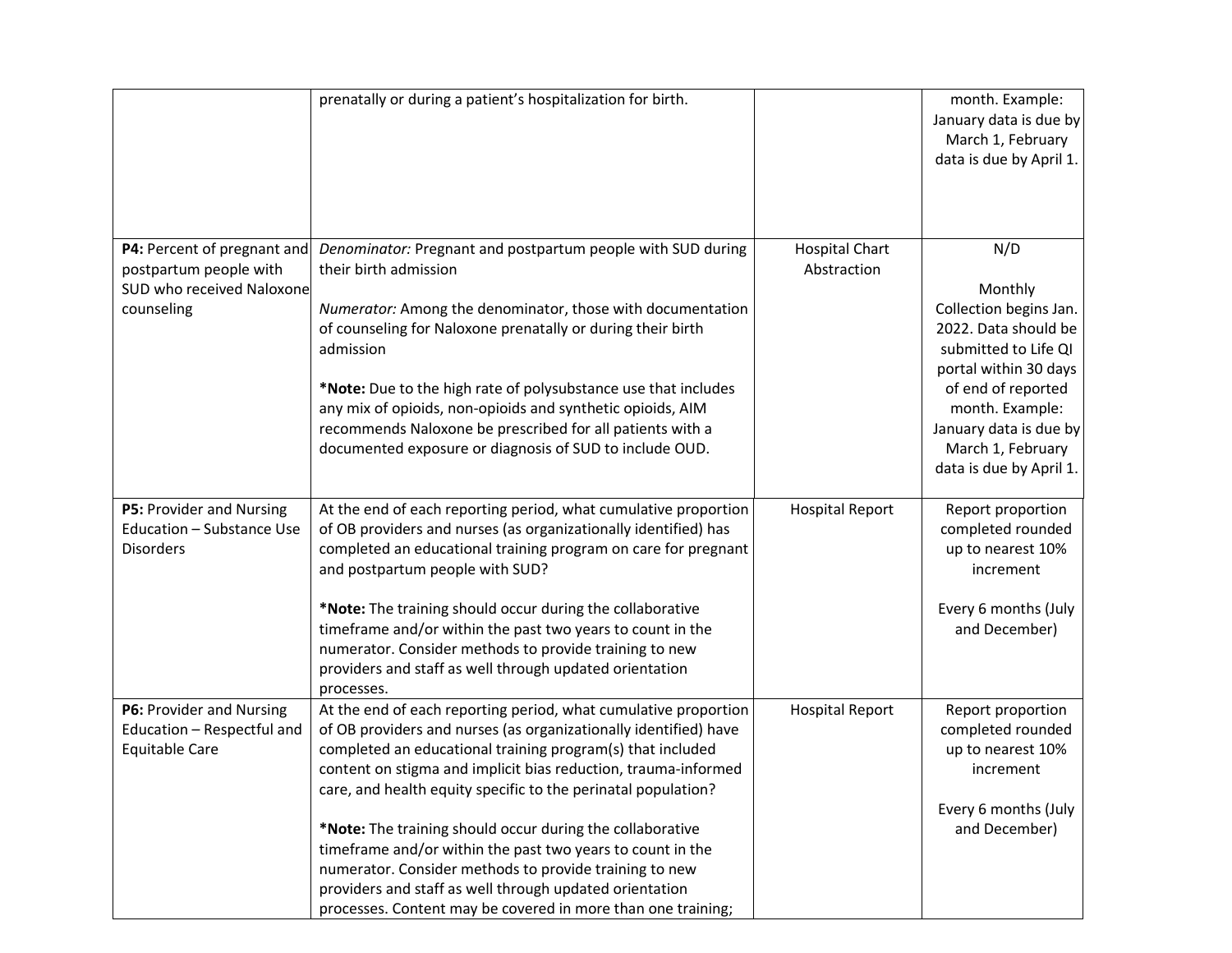|                                                                                                  | prenatally or during a patient's hospitalization for birth.                                                                                                                                                                                                                                                                                                                                                                                                                                                                                                                                                                                          |                                      | month. Example:<br>January data is due by<br>March 1, February<br>data is due by April 1.                                                                                                                                            |
|--------------------------------------------------------------------------------------------------|------------------------------------------------------------------------------------------------------------------------------------------------------------------------------------------------------------------------------------------------------------------------------------------------------------------------------------------------------------------------------------------------------------------------------------------------------------------------------------------------------------------------------------------------------------------------------------------------------------------------------------------------------|--------------------------------------|--------------------------------------------------------------------------------------------------------------------------------------------------------------------------------------------------------------------------------------|
| P4: Percent of pregnant and<br>postpartum people with<br>SUD who received Naloxone<br>counseling | Denominator: Pregnant and postpartum people with SUD during<br>their birth admission<br>Numerator: Among the denominator, those with documentation<br>of counseling for Naloxone prenatally or during their birth<br>admission<br>*Note: Due to the high rate of polysubstance use that includes<br>any mix of opioids, non-opioids and synthetic opioids, AIM<br>recommends Naloxone be prescribed for all patients with a<br>documented exposure or diagnosis of SUD to include OUD.                                                                                                                                                               | <b>Hospital Chart</b><br>Abstraction | N/D<br>Monthly<br>Collection begins Jan.<br>2022. Data should be<br>submitted to Life QI<br>portal within 30 days<br>of end of reported<br>month. Example:<br>January data is due by<br>March 1, February<br>data is due by April 1. |
| P5: Provider and Nursing<br>Education - Substance Use<br><b>Disorders</b>                        | At the end of each reporting period, what cumulative proportion<br>of OB providers and nurses (as organizationally identified) has<br>completed an educational training program on care for pregnant<br>and postpartum people with SUD?<br>*Note: The training should occur during the collaborative<br>timeframe and/or within the past two years to count in the<br>numerator. Consider methods to provide training to new<br>providers and staff as well through updated orientation<br>processes.                                                                                                                                                | <b>Hospital Report</b>               | Report proportion<br>completed rounded<br>up to nearest 10%<br>increment<br>Every 6 months (July<br>and December)                                                                                                                    |
| P6: Provider and Nursing<br>Education - Respectful and<br><b>Equitable Care</b>                  | At the end of each reporting period, what cumulative proportion<br>of OB providers and nurses (as organizationally identified) have<br>completed an educational training program(s) that included<br>content on stigma and implicit bias reduction, trauma-informed<br>care, and health equity specific to the perinatal population?<br>*Note: The training should occur during the collaborative<br>timeframe and/or within the past two years to count in the<br>numerator. Consider methods to provide training to new<br>providers and staff as well through updated orientation<br>processes. Content may be covered in more than one training; | <b>Hospital Report</b>               | Report proportion<br>completed rounded<br>up to nearest 10%<br>increment<br>Every 6 months (July<br>and December)                                                                                                                    |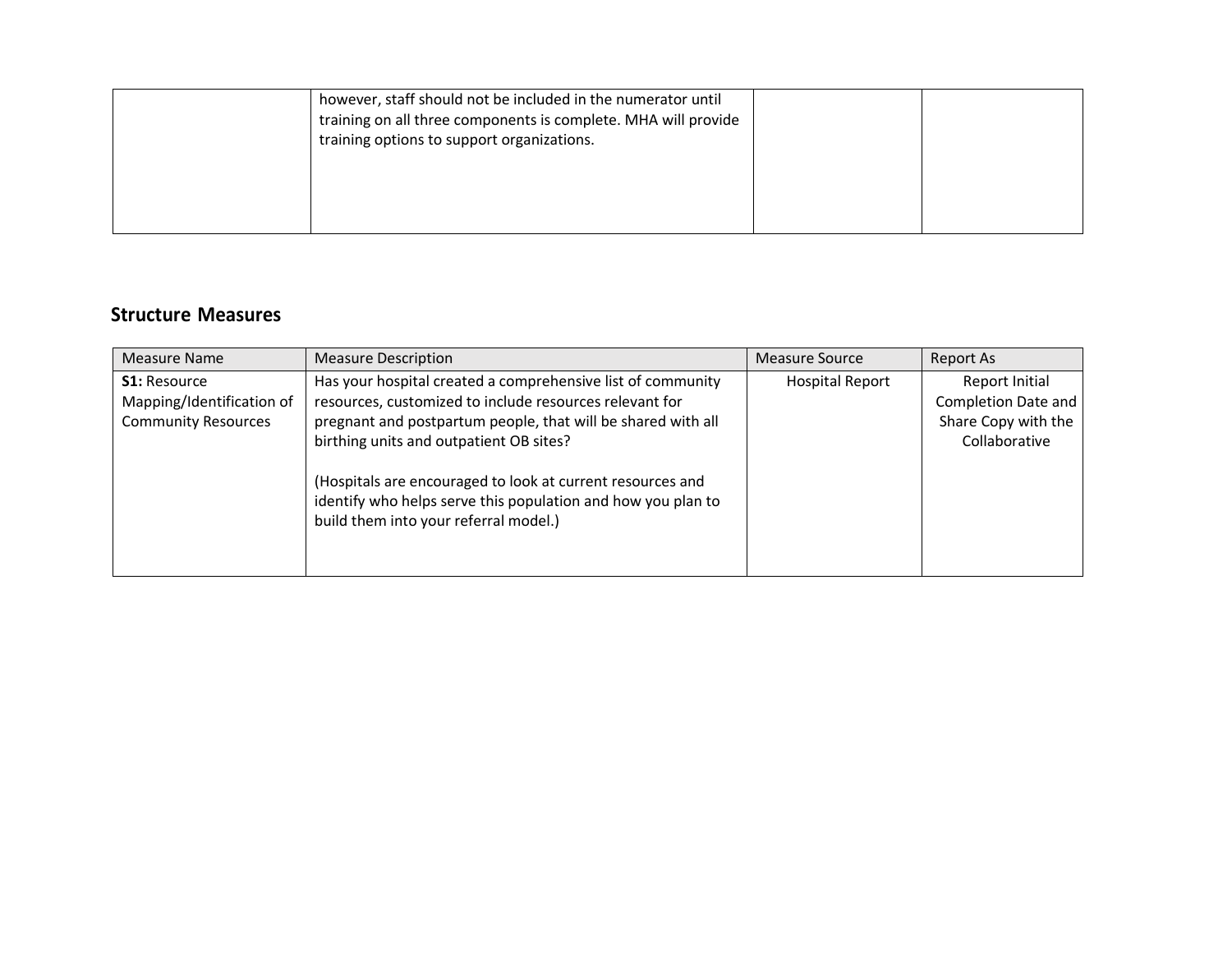| however, staff should not be included in the numerator until<br>training on all three components is complete. MHA will provide<br>training options to support organizations. |  |
|------------------------------------------------------------------------------------------------------------------------------------------------------------------------------|--|
|                                                                                                                                                                              |  |

## **Structure Measures**

| Has your hospital created a comprehensive list of community<br><b>Hospital Report</b><br><b>S1: Resource</b><br>Report Initial<br>resources, customized to include resources relevant for<br>Mapping/Identification of<br>pregnant and postpartum people, that will be shared with all<br><b>Community Resources</b><br>Collaborative<br>birthing units and outpatient OB sites?<br>(Hospitals are encouraged to look at current resources and<br>identify who helps serve this population and how you plan to | Measure Name | <b>Measure Description</b> | Measure Source | Report As                                         |
|----------------------------------------------------------------------------------------------------------------------------------------------------------------------------------------------------------------------------------------------------------------------------------------------------------------------------------------------------------------------------------------------------------------------------------------------------------------------------------------------------------------|--------------|----------------------------|----------------|---------------------------------------------------|
| build them into your referral model.)                                                                                                                                                                                                                                                                                                                                                                                                                                                                          |              |                            |                | <b>Completion Date and</b><br>Share Copy with the |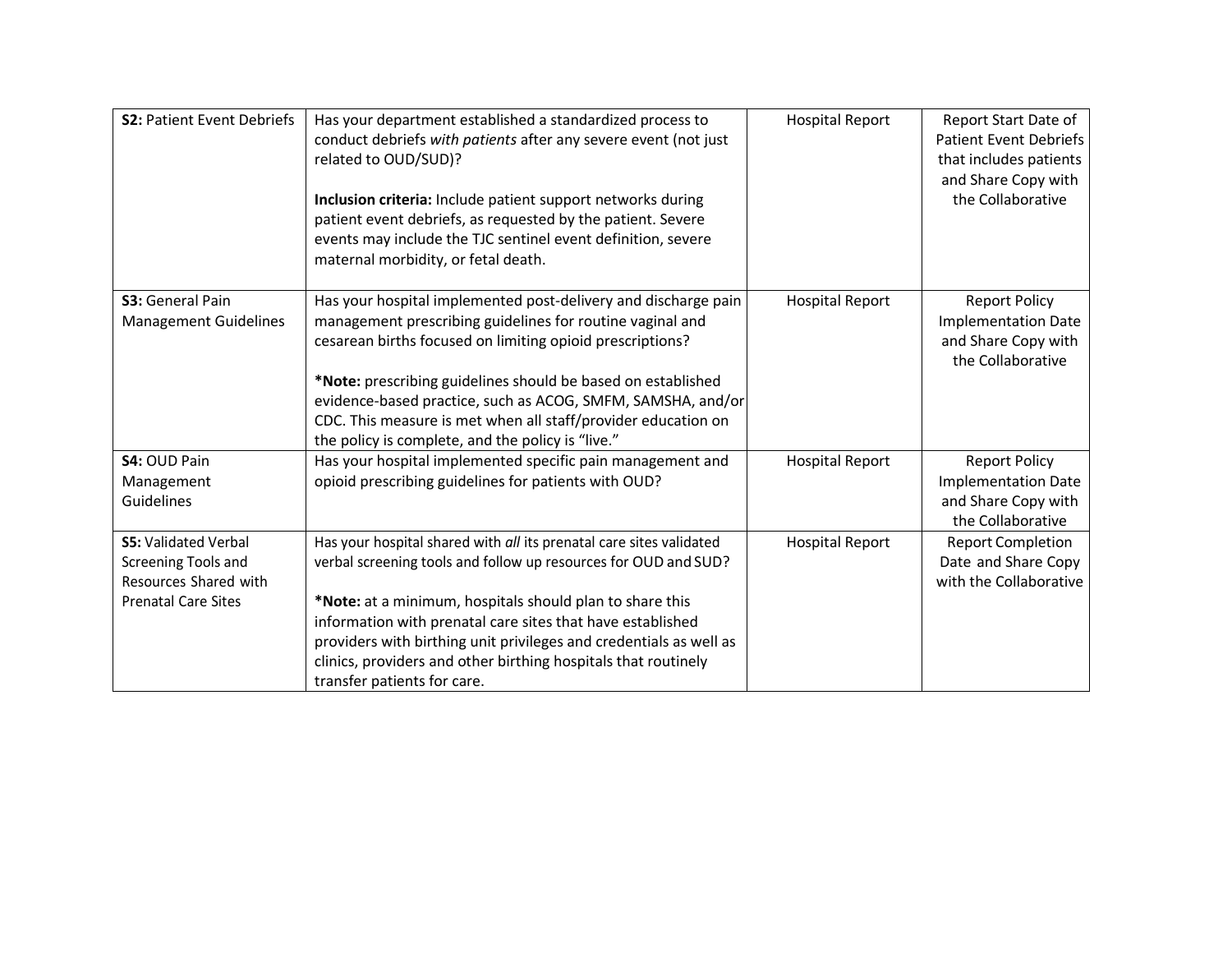| <b>S2: Patient Event Debriefs</b>                                                                         | Has your department established a standardized process to<br>conduct debriefs with patients after any severe event (not just<br>related to OUD/SUD)?<br>Inclusion criteria: Include patient support networks during<br>patient event debriefs, as requested by the patient. Severe                                                                                                                                                      | <b>Hospital Report</b> | Report Start Date of<br><b>Patient Event Debriefs</b><br>that includes patients<br>and Share Copy with<br>the Collaborative |
|-----------------------------------------------------------------------------------------------------------|-----------------------------------------------------------------------------------------------------------------------------------------------------------------------------------------------------------------------------------------------------------------------------------------------------------------------------------------------------------------------------------------------------------------------------------------|------------------------|-----------------------------------------------------------------------------------------------------------------------------|
|                                                                                                           | events may include the TJC sentinel event definition, severe<br>maternal morbidity, or fetal death.                                                                                                                                                                                                                                                                                                                                     |                        |                                                                                                                             |
| S3: General Pain<br><b>Management Guidelines</b>                                                          | Has your hospital implemented post-delivery and discharge pain<br>management prescribing guidelines for routine vaginal and<br>cesarean births focused on limiting opioid prescriptions?                                                                                                                                                                                                                                                | <b>Hospital Report</b> | <b>Report Policy</b><br><b>Implementation Date</b><br>and Share Copy with<br>the Collaborative                              |
|                                                                                                           | *Note: prescribing guidelines should be based on established<br>evidence-based practice, such as ACOG, SMFM, SAMSHA, and/or<br>CDC. This measure is met when all staff/provider education on<br>the policy is complete, and the policy is "live."                                                                                                                                                                                       |                        |                                                                                                                             |
| S4: OUD Pain<br>Management<br>Guidelines                                                                  | Has your hospital implemented specific pain management and<br>opioid prescribing guidelines for patients with OUD?                                                                                                                                                                                                                                                                                                                      | <b>Hospital Report</b> | <b>Report Policy</b><br><b>Implementation Date</b><br>and Share Copy with<br>the Collaborative                              |
| <b>S5: Validated Verbal</b><br>Screening Tools and<br>Resources Shared with<br><b>Prenatal Care Sites</b> | Has your hospital shared with all its prenatal care sites validated<br>verbal screening tools and follow up resources for OUD and SUD?<br>*Note: at a minimum, hospitals should plan to share this<br>information with prenatal care sites that have established<br>providers with birthing unit privileges and credentials as well as<br>clinics, providers and other birthing hospitals that routinely<br>transfer patients for care. | <b>Hospital Report</b> | <b>Report Completion</b><br>Date and Share Copy<br>with the Collaborative                                                   |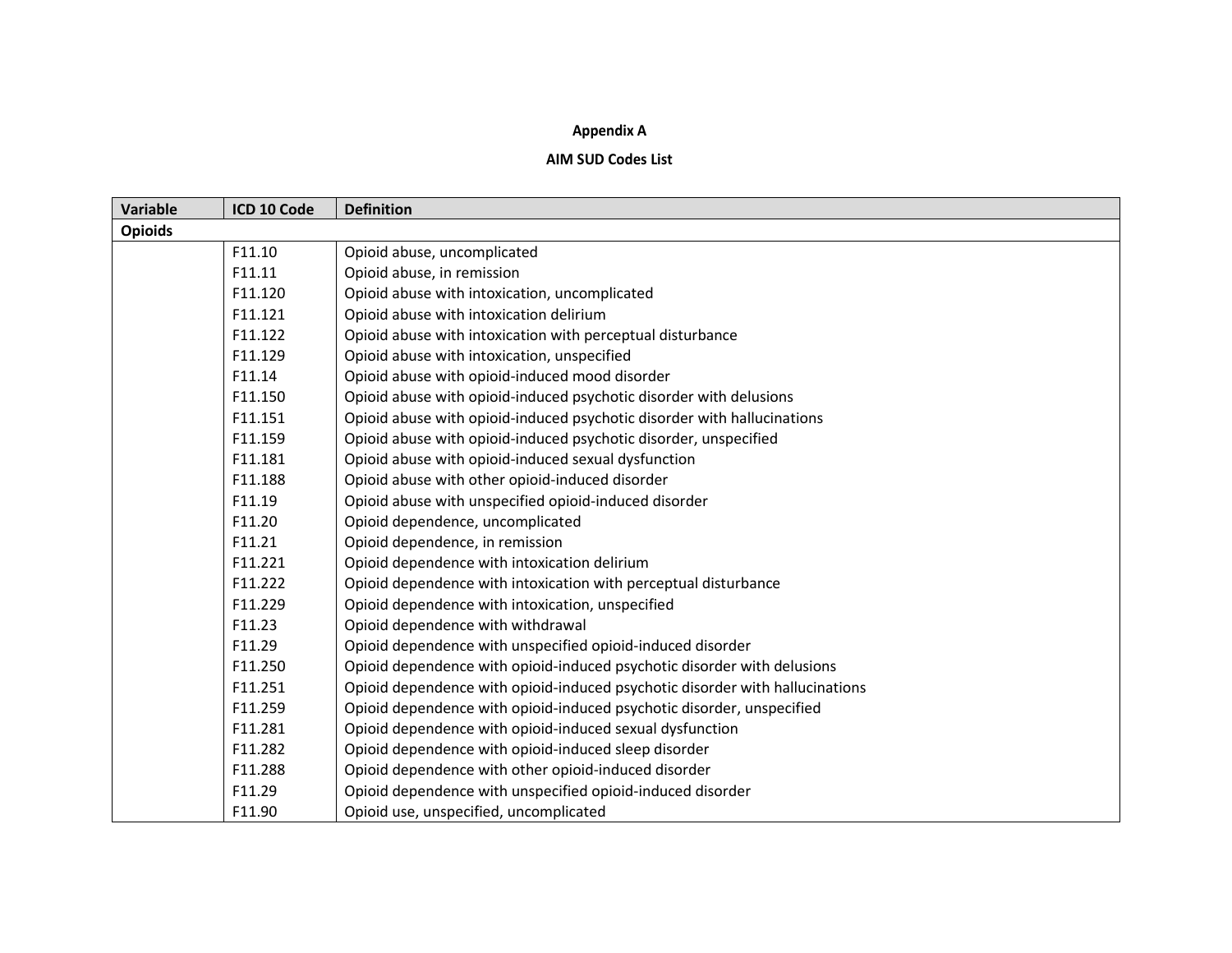## **Appendix A**

## **AIM SUD Codes List**

| <b>Variable</b> | ICD 10 Code | <b>Definition</b>                                                            |
|-----------------|-------------|------------------------------------------------------------------------------|
| <b>Opioids</b>  |             |                                                                              |
|                 | F11.10      | Opioid abuse, uncomplicated                                                  |
|                 | F11.11      | Opioid abuse, in remission                                                   |
|                 | F11.120     | Opioid abuse with intoxication, uncomplicated                                |
|                 | F11.121     | Opioid abuse with intoxication delirium                                      |
|                 | F11.122     | Opioid abuse with intoxication with perceptual disturbance                   |
|                 | F11.129     | Opioid abuse with intoxication, unspecified                                  |
|                 | F11.14      | Opioid abuse with opioid-induced mood disorder                               |
|                 | F11.150     | Opioid abuse with opioid-induced psychotic disorder with delusions           |
|                 | F11.151     | Opioid abuse with opioid-induced psychotic disorder with hallucinations      |
|                 | F11.159     | Opioid abuse with opioid-induced psychotic disorder, unspecified             |
|                 | F11.181     | Opioid abuse with opioid-induced sexual dysfunction                          |
|                 | F11.188     | Opioid abuse with other opioid-induced disorder                              |
|                 | F11.19      | Opioid abuse with unspecified opioid-induced disorder                        |
|                 | F11.20      | Opioid dependence, uncomplicated                                             |
|                 | F11.21      | Opioid dependence, in remission                                              |
|                 | F11.221     | Opioid dependence with intoxication delirium                                 |
|                 | F11.222     | Opioid dependence with intoxication with perceptual disturbance              |
|                 | F11.229     | Opioid dependence with intoxication, unspecified                             |
|                 | F11.23      | Opioid dependence with withdrawal                                            |
|                 | F11.29      | Opioid dependence with unspecified opioid-induced disorder                   |
|                 | F11.250     | Opioid dependence with opioid-induced psychotic disorder with delusions      |
|                 | F11.251     | Opioid dependence with opioid-induced psychotic disorder with hallucinations |
|                 | F11.259     | Opioid dependence with opioid-induced psychotic disorder, unspecified        |
|                 | F11.281     | Opioid dependence with opioid-induced sexual dysfunction                     |
|                 | F11.282     | Opioid dependence with opioid-induced sleep disorder                         |
|                 | F11.288     | Opioid dependence with other opioid-induced disorder                         |
|                 | F11.29      | Opioid dependence with unspecified opioid-induced disorder                   |
|                 | F11.90      | Opioid use, unspecified, uncomplicated                                       |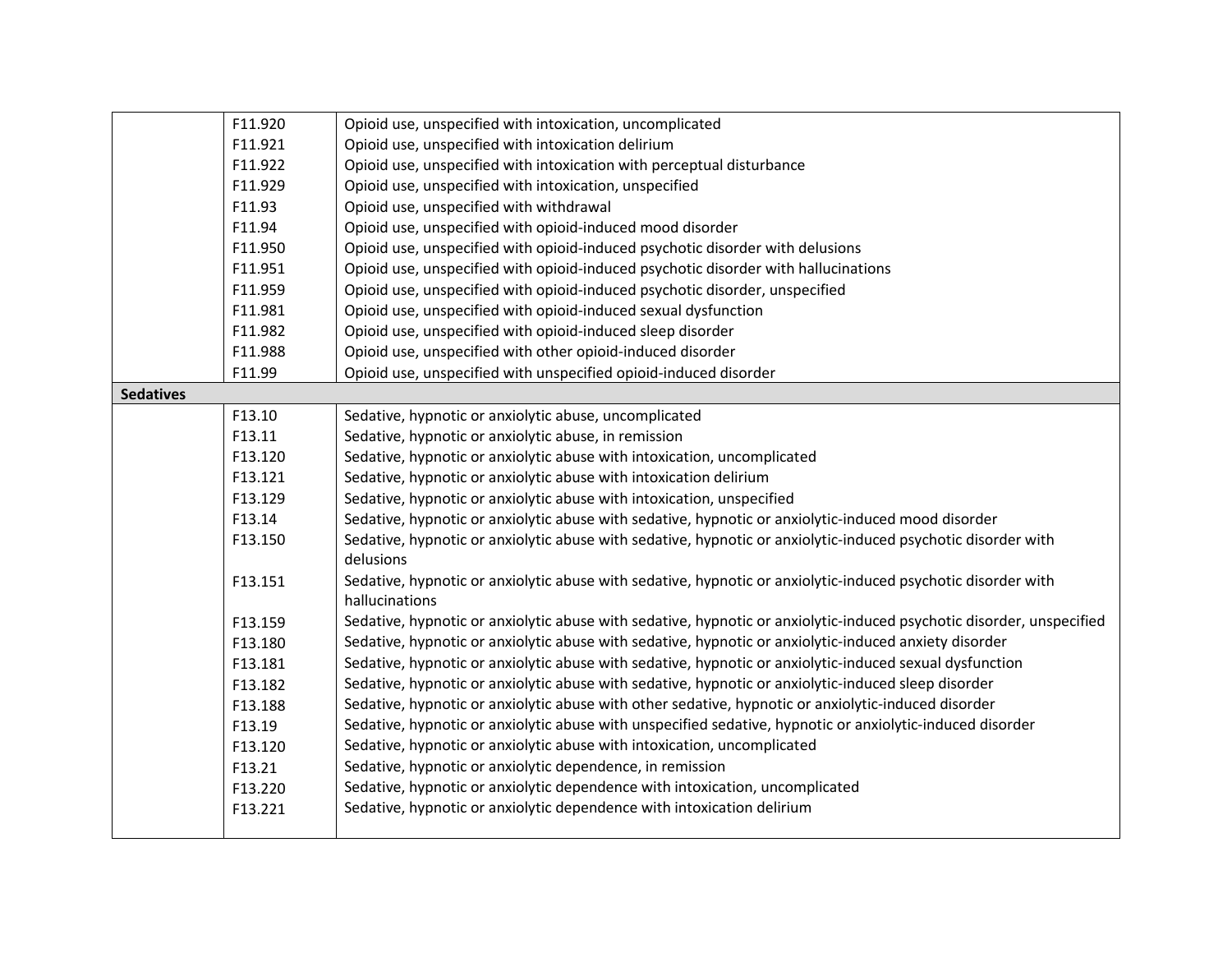|                  | F11.920            | Opioid use, unspecified with intoxication, uncomplicated                                                                                                                                                                      |
|------------------|--------------------|-------------------------------------------------------------------------------------------------------------------------------------------------------------------------------------------------------------------------------|
|                  | F11.921            | Opioid use, unspecified with intoxication delirium                                                                                                                                                                            |
|                  | F11.922            | Opioid use, unspecified with intoxication with perceptual disturbance                                                                                                                                                         |
|                  | F11.929            | Opioid use, unspecified with intoxication, unspecified                                                                                                                                                                        |
|                  | F11.93             | Opioid use, unspecified with withdrawal                                                                                                                                                                                       |
|                  | F11.94             | Opioid use, unspecified with opioid-induced mood disorder                                                                                                                                                                     |
|                  | F11.950            | Opioid use, unspecified with opioid-induced psychotic disorder with delusions                                                                                                                                                 |
|                  | F11.951            | Opioid use, unspecified with opioid-induced psychotic disorder with hallucinations                                                                                                                                            |
|                  | F11.959            | Opioid use, unspecified with opioid-induced psychotic disorder, unspecified                                                                                                                                                   |
|                  | F11.981            | Opioid use, unspecified with opioid-induced sexual dysfunction                                                                                                                                                                |
|                  | F11.982            | Opioid use, unspecified with opioid-induced sleep disorder                                                                                                                                                                    |
|                  | F11.988            | Opioid use, unspecified with other opioid-induced disorder                                                                                                                                                                    |
|                  | F11.99             | Opioid use, unspecified with unspecified opioid-induced disorder                                                                                                                                                              |
| <b>Sedatives</b> |                    |                                                                                                                                                                                                                               |
|                  | F13.10             | Sedative, hypnotic or anxiolytic abuse, uncomplicated                                                                                                                                                                         |
|                  | F13.11             | Sedative, hypnotic or anxiolytic abuse, in remission                                                                                                                                                                          |
|                  | F13.120            | Sedative, hypnotic or anxiolytic abuse with intoxication, uncomplicated                                                                                                                                                       |
|                  | F13.121            | Sedative, hypnotic or anxiolytic abuse with intoxication delirium                                                                                                                                                             |
|                  | F13.129            | Sedative, hypnotic or anxiolytic abuse with intoxication, unspecified                                                                                                                                                         |
|                  | F13.14             | Sedative, hypnotic or anxiolytic abuse with sedative, hypnotic or anxiolytic-induced mood disorder                                                                                                                            |
|                  | F13.150            | Sedative, hypnotic or anxiolytic abuse with sedative, hypnotic or anxiolytic-induced psychotic disorder with<br>delusions                                                                                                     |
|                  | F13.151            | Sedative, hypnotic or anxiolytic abuse with sedative, hypnotic or anxiolytic-induced psychotic disorder with<br>hallucinations                                                                                                |
|                  |                    |                                                                                                                                                                                                                               |
|                  | F13.159<br>F13.180 | Sedative, hypnotic or anxiolytic abuse with sedative, hypnotic or anxiolytic-induced psychotic disorder, unspecified<br>Sedative, hypnotic or anxiolytic abuse with sedative, hypnotic or anxiolytic-induced anxiety disorder |
|                  | F13.181            | Sedative, hypnotic or anxiolytic abuse with sedative, hypnotic or anxiolytic-induced sexual dysfunction                                                                                                                       |
|                  |                    | Sedative, hypnotic or anxiolytic abuse with sedative, hypnotic or anxiolytic-induced sleep disorder                                                                                                                           |
|                  | F13.182            | Sedative, hypnotic or anxiolytic abuse with other sedative, hypnotic or anxiolytic-induced disorder                                                                                                                           |
|                  | F13.188            | Sedative, hypnotic or anxiolytic abuse with unspecified sedative, hypnotic or anxiolytic-induced disorder                                                                                                                     |
|                  | F13.19             |                                                                                                                                                                                                                               |
|                  | F13.120            | Sedative, hypnotic or anxiolytic abuse with intoxication, uncomplicated<br>Sedative, hypnotic or anxiolytic dependence, in remission                                                                                          |
|                  | F13.21             |                                                                                                                                                                                                                               |
|                  | F13.220            | Sedative, hypnotic or anxiolytic dependence with intoxication, uncomplicated                                                                                                                                                  |
|                  | F13.221            | Sedative, hypnotic or anxiolytic dependence with intoxication delirium                                                                                                                                                        |
|                  |                    |                                                                                                                                                                                                                               |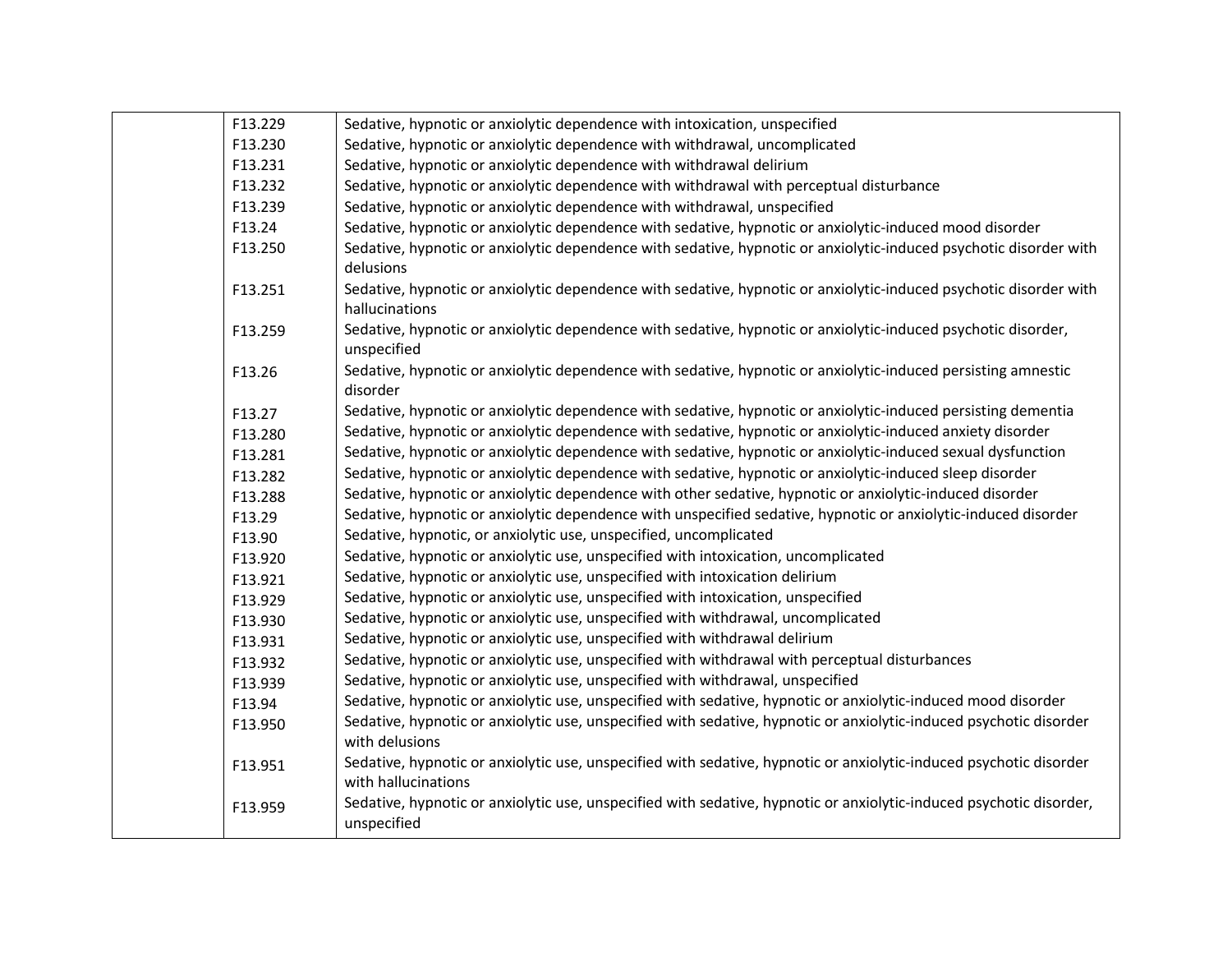| F13.229<br>Sedative, hypnotic or anxiolytic dependence with intoxication, unspecified<br>F13.230<br>Sedative, hypnotic or anxiolytic dependence with withdrawal, uncomplicated<br>F13.231<br>Sedative, hypnotic or anxiolytic dependence with withdrawal delirium<br>F13.232<br>Sedative, hypnotic or anxiolytic dependence with withdrawal with perceptual disturbance<br>F13.239<br>Sedative, hypnotic or anxiolytic dependence with withdrawal, unspecified<br>F13.24<br>Sedative, hypnotic or anxiolytic dependence with sedative, hypnotic or anxiolytic-induced mood disorder<br>F13.250<br>Sedative, hypnotic or anxiolytic dependence with sedative, hypnotic or anxiolytic-induced psychotic disorder with<br>delusions<br>Sedative, hypnotic or anxiolytic dependence with sedative, hypnotic or anxiolytic-induced psychotic disorder with<br>F13.251<br>hallucinations<br>Sedative, hypnotic or anxiolytic dependence with sedative, hypnotic or anxiolytic-induced psychotic disorder,<br>F13.259<br>unspecified<br>Sedative, hypnotic or anxiolytic dependence with sedative, hypnotic or anxiolytic-induced persisting amnestic<br>F13.26<br>disorder<br>Sedative, hypnotic or anxiolytic dependence with sedative, hypnotic or anxiolytic-induced persisting dementia<br>F13.27<br>Sedative, hypnotic or anxiolytic dependence with sedative, hypnotic or anxiolytic-induced anxiety disorder<br>F13.280<br>Sedative, hypnotic or anxiolytic dependence with sedative, hypnotic or anxiolytic-induced sexual dysfunction<br>F13.281<br>Sedative, hypnotic or anxiolytic dependence with sedative, hypnotic or anxiolytic-induced sleep disorder<br>F13.282<br>Sedative, hypnotic or anxiolytic dependence with other sedative, hypnotic or anxiolytic-induced disorder<br>F13.288<br>Sedative, hypnotic or anxiolytic dependence with unspecified sedative, hypnotic or anxiolytic-induced disorder<br>F13.29<br>Sedative, hypnotic, or anxiolytic use, unspecified, uncomplicated<br>F13.90<br>Sedative, hypnotic or anxiolytic use, unspecified with intoxication, uncomplicated<br>F13.920<br>Sedative, hypnotic or anxiolytic use, unspecified with intoxication delirium<br>F13.921<br>Sedative, hypnotic or anxiolytic use, unspecified with intoxication, unspecified<br>F13.929<br>Sedative, hypnotic or anxiolytic use, unspecified with withdrawal, uncomplicated<br>F13.930<br>Sedative, hypnotic or anxiolytic use, unspecified with withdrawal delirium<br>F13.931<br>Sedative, hypnotic or anxiolytic use, unspecified with withdrawal with perceptual disturbances<br>F13.932<br>Sedative, hypnotic or anxiolytic use, unspecified with withdrawal, unspecified<br>F13.939<br>Sedative, hypnotic or anxiolytic use, unspecified with sedative, hypnotic or anxiolytic-induced mood disorder<br>F13.94<br>Sedative, hypnotic or anxiolytic use, unspecified with sedative, hypnotic or anxiolytic-induced psychotic disorder<br>F13.950<br>with delusions<br>Sedative, hypnotic or anxiolytic use, unspecified with sedative, hypnotic or anxiolytic-induced psychotic disorder<br>F13.951<br>with hallucinations<br>Sedative, hypnotic or anxiolytic use, unspecified with sedative, hypnotic or anxiolytic-induced psychotic disorder,<br>F13.959<br>unspecified |  |  |
|--------------------------------------------------------------------------------------------------------------------------------------------------------------------------------------------------------------------------------------------------------------------------------------------------------------------------------------------------------------------------------------------------------------------------------------------------------------------------------------------------------------------------------------------------------------------------------------------------------------------------------------------------------------------------------------------------------------------------------------------------------------------------------------------------------------------------------------------------------------------------------------------------------------------------------------------------------------------------------------------------------------------------------------------------------------------------------------------------------------------------------------------------------------------------------------------------------------------------------------------------------------------------------------------------------------------------------------------------------------------------------------------------------------------------------------------------------------------------------------------------------------------------------------------------------------------------------------------------------------------------------------------------------------------------------------------------------------------------------------------------------------------------------------------------------------------------------------------------------------------------------------------------------------------------------------------------------------------------------------------------------------------------------------------------------------------------------------------------------------------------------------------------------------------------------------------------------------------------------------------------------------------------------------------------------------------------------------------------------------------------------------------------------------------------------------------------------------------------------------------------------------------------------------------------------------------------------------------------------------------------------------------------------------------------------------------------------------------------------------------------------------------------------------------------------------------------------------------------------------------------------------------------------------------------------------------------------------------------------------------------------------------------------------------------------------------------------------------------------------------------------------------------------------------------------------------------------------------------------------------------------------------------------------------------|--|--|
|                                                                                                                                                                                                                                                                                                                                                                                                                                                                                                                                                                                                                                                                                                                                                                                                                                                                                                                                                                                                                                                                                                                                                                                                                                                                                                                                                                                                                                                                                                                                                                                                                                                                                                                                                                                                                                                                                                                                                                                                                                                                                                                                                                                                                                                                                                                                                                                                                                                                                                                                                                                                                                                                                                                                                                                                                                                                                                                                                                                                                                                                                                                                                                                                                                                                                                  |  |  |
|                                                                                                                                                                                                                                                                                                                                                                                                                                                                                                                                                                                                                                                                                                                                                                                                                                                                                                                                                                                                                                                                                                                                                                                                                                                                                                                                                                                                                                                                                                                                                                                                                                                                                                                                                                                                                                                                                                                                                                                                                                                                                                                                                                                                                                                                                                                                                                                                                                                                                                                                                                                                                                                                                                                                                                                                                                                                                                                                                                                                                                                                                                                                                                                                                                                                                                  |  |  |
|                                                                                                                                                                                                                                                                                                                                                                                                                                                                                                                                                                                                                                                                                                                                                                                                                                                                                                                                                                                                                                                                                                                                                                                                                                                                                                                                                                                                                                                                                                                                                                                                                                                                                                                                                                                                                                                                                                                                                                                                                                                                                                                                                                                                                                                                                                                                                                                                                                                                                                                                                                                                                                                                                                                                                                                                                                                                                                                                                                                                                                                                                                                                                                                                                                                                                                  |  |  |
|                                                                                                                                                                                                                                                                                                                                                                                                                                                                                                                                                                                                                                                                                                                                                                                                                                                                                                                                                                                                                                                                                                                                                                                                                                                                                                                                                                                                                                                                                                                                                                                                                                                                                                                                                                                                                                                                                                                                                                                                                                                                                                                                                                                                                                                                                                                                                                                                                                                                                                                                                                                                                                                                                                                                                                                                                                                                                                                                                                                                                                                                                                                                                                                                                                                                                                  |  |  |
|                                                                                                                                                                                                                                                                                                                                                                                                                                                                                                                                                                                                                                                                                                                                                                                                                                                                                                                                                                                                                                                                                                                                                                                                                                                                                                                                                                                                                                                                                                                                                                                                                                                                                                                                                                                                                                                                                                                                                                                                                                                                                                                                                                                                                                                                                                                                                                                                                                                                                                                                                                                                                                                                                                                                                                                                                                                                                                                                                                                                                                                                                                                                                                                                                                                                                                  |  |  |
|                                                                                                                                                                                                                                                                                                                                                                                                                                                                                                                                                                                                                                                                                                                                                                                                                                                                                                                                                                                                                                                                                                                                                                                                                                                                                                                                                                                                                                                                                                                                                                                                                                                                                                                                                                                                                                                                                                                                                                                                                                                                                                                                                                                                                                                                                                                                                                                                                                                                                                                                                                                                                                                                                                                                                                                                                                                                                                                                                                                                                                                                                                                                                                                                                                                                                                  |  |  |
|                                                                                                                                                                                                                                                                                                                                                                                                                                                                                                                                                                                                                                                                                                                                                                                                                                                                                                                                                                                                                                                                                                                                                                                                                                                                                                                                                                                                                                                                                                                                                                                                                                                                                                                                                                                                                                                                                                                                                                                                                                                                                                                                                                                                                                                                                                                                                                                                                                                                                                                                                                                                                                                                                                                                                                                                                                                                                                                                                                                                                                                                                                                                                                                                                                                                                                  |  |  |
|                                                                                                                                                                                                                                                                                                                                                                                                                                                                                                                                                                                                                                                                                                                                                                                                                                                                                                                                                                                                                                                                                                                                                                                                                                                                                                                                                                                                                                                                                                                                                                                                                                                                                                                                                                                                                                                                                                                                                                                                                                                                                                                                                                                                                                                                                                                                                                                                                                                                                                                                                                                                                                                                                                                                                                                                                                                                                                                                                                                                                                                                                                                                                                                                                                                                                                  |  |  |
|                                                                                                                                                                                                                                                                                                                                                                                                                                                                                                                                                                                                                                                                                                                                                                                                                                                                                                                                                                                                                                                                                                                                                                                                                                                                                                                                                                                                                                                                                                                                                                                                                                                                                                                                                                                                                                                                                                                                                                                                                                                                                                                                                                                                                                                                                                                                                                                                                                                                                                                                                                                                                                                                                                                                                                                                                                                                                                                                                                                                                                                                                                                                                                                                                                                                                                  |  |  |
|                                                                                                                                                                                                                                                                                                                                                                                                                                                                                                                                                                                                                                                                                                                                                                                                                                                                                                                                                                                                                                                                                                                                                                                                                                                                                                                                                                                                                                                                                                                                                                                                                                                                                                                                                                                                                                                                                                                                                                                                                                                                                                                                                                                                                                                                                                                                                                                                                                                                                                                                                                                                                                                                                                                                                                                                                                                                                                                                                                                                                                                                                                                                                                                                                                                                                                  |  |  |
|                                                                                                                                                                                                                                                                                                                                                                                                                                                                                                                                                                                                                                                                                                                                                                                                                                                                                                                                                                                                                                                                                                                                                                                                                                                                                                                                                                                                                                                                                                                                                                                                                                                                                                                                                                                                                                                                                                                                                                                                                                                                                                                                                                                                                                                                                                                                                                                                                                                                                                                                                                                                                                                                                                                                                                                                                                                                                                                                                                                                                                                                                                                                                                                                                                                                                                  |  |  |
|                                                                                                                                                                                                                                                                                                                                                                                                                                                                                                                                                                                                                                                                                                                                                                                                                                                                                                                                                                                                                                                                                                                                                                                                                                                                                                                                                                                                                                                                                                                                                                                                                                                                                                                                                                                                                                                                                                                                                                                                                                                                                                                                                                                                                                                                                                                                                                                                                                                                                                                                                                                                                                                                                                                                                                                                                                                                                                                                                                                                                                                                                                                                                                                                                                                                                                  |  |  |
|                                                                                                                                                                                                                                                                                                                                                                                                                                                                                                                                                                                                                                                                                                                                                                                                                                                                                                                                                                                                                                                                                                                                                                                                                                                                                                                                                                                                                                                                                                                                                                                                                                                                                                                                                                                                                                                                                                                                                                                                                                                                                                                                                                                                                                                                                                                                                                                                                                                                                                                                                                                                                                                                                                                                                                                                                                                                                                                                                                                                                                                                                                                                                                                                                                                                                                  |  |  |
|                                                                                                                                                                                                                                                                                                                                                                                                                                                                                                                                                                                                                                                                                                                                                                                                                                                                                                                                                                                                                                                                                                                                                                                                                                                                                                                                                                                                                                                                                                                                                                                                                                                                                                                                                                                                                                                                                                                                                                                                                                                                                                                                                                                                                                                                                                                                                                                                                                                                                                                                                                                                                                                                                                                                                                                                                                                                                                                                                                                                                                                                                                                                                                                                                                                                                                  |  |  |
|                                                                                                                                                                                                                                                                                                                                                                                                                                                                                                                                                                                                                                                                                                                                                                                                                                                                                                                                                                                                                                                                                                                                                                                                                                                                                                                                                                                                                                                                                                                                                                                                                                                                                                                                                                                                                                                                                                                                                                                                                                                                                                                                                                                                                                                                                                                                                                                                                                                                                                                                                                                                                                                                                                                                                                                                                                                                                                                                                                                                                                                                                                                                                                                                                                                                                                  |  |  |
|                                                                                                                                                                                                                                                                                                                                                                                                                                                                                                                                                                                                                                                                                                                                                                                                                                                                                                                                                                                                                                                                                                                                                                                                                                                                                                                                                                                                                                                                                                                                                                                                                                                                                                                                                                                                                                                                                                                                                                                                                                                                                                                                                                                                                                                                                                                                                                                                                                                                                                                                                                                                                                                                                                                                                                                                                                                                                                                                                                                                                                                                                                                                                                                                                                                                                                  |  |  |
|                                                                                                                                                                                                                                                                                                                                                                                                                                                                                                                                                                                                                                                                                                                                                                                                                                                                                                                                                                                                                                                                                                                                                                                                                                                                                                                                                                                                                                                                                                                                                                                                                                                                                                                                                                                                                                                                                                                                                                                                                                                                                                                                                                                                                                                                                                                                                                                                                                                                                                                                                                                                                                                                                                                                                                                                                                                                                                                                                                                                                                                                                                                                                                                                                                                                                                  |  |  |
|                                                                                                                                                                                                                                                                                                                                                                                                                                                                                                                                                                                                                                                                                                                                                                                                                                                                                                                                                                                                                                                                                                                                                                                                                                                                                                                                                                                                                                                                                                                                                                                                                                                                                                                                                                                                                                                                                                                                                                                                                                                                                                                                                                                                                                                                                                                                                                                                                                                                                                                                                                                                                                                                                                                                                                                                                                                                                                                                                                                                                                                                                                                                                                                                                                                                                                  |  |  |
|                                                                                                                                                                                                                                                                                                                                                                                                                                                                                                                                                                                                                                                                                                                                                                                                                                                                                                                                                                                                                                                                                                                                                                                                                                                                                                                                                                                                                                                                                                                                                                                                                                                                                                                                                                                                                                                                                                                                                                                                                                                                                                                                                                                                                                                                                                                                                                                                                                                                                                                                                                                                                                                                                                                                                                                                                                                                                                                                                                                                                                                                                                                                                                                                                                                                                                  |  |  |
|                                                                                                                                                                                                                                                                                                                                                                                                                                                                                                                                                                                                                                                                                                                                                                                                                                                                                                                                                                                                                                                                                                                                                                                                                                                                                                                                                                                                                                                                                                                                                                                                                                                                                                                                                                                                                                                                                                                                                                                                                                                                                                                                                                                                                                                                                                                                                                                                                                                                                                                                                                                                                                                                                                                                                                                                                                                                                                                                                                                                                                                                                                                                                                                                                                                                                                  |  |  |
|                                                                                                                                                                                                                                                                                                                                                                                                                                                                                                                                                                                                                                                                                                                                                                                                                                                                                                                                                                                                                                                                                                                                                                                                                                                                                                                                                                                                                                                                                                                                                                                                                                                                                                                                                                                                                                                                                                                                                                                                                                                                                                                                                                                                                                                                                                                                                                                                                                                                                                                                                                                                                                                                                                                                                                                                                                                                                                                                                                                                                                                                                                                                                                                                                                                                                                  |  |  |
|                                                                                                                                                                                                                                                                                                                                                                                                                                                                                                                                                                                                                                                                                                                                                                                                                                                                                                                                                                                                                                                                                                                                                                                                                                                                                                                                                                                                                                                                                                                                                                                                                                                                                                                                                                                                                                                                                                                                                                                                                                                                                                                                                                                                                                                                                                                                                                                                                                                                                                                                                                                                                                                                                                                                                                                                                                                                                                                                                                                                                                                                                                                                                                                                                                                                                                  |  |  |
|                                                                                                                                                                                                                                                                                                                                                                                                                                                                                                                                                                                                                                                                                                                                                                                                                                                                                                                                                                                                                                                                                                                                                                                                                                                                                                                                                                                                                                                                                                                                                                                                                                                                                                                                                                                                                                                                                                                                                                                                                                                                                                                                                                                                                                                                                                                                                                                                                                                                                                                                                                                                                                                                                                                                                                                                                                                                                                                                                                                                                                                                                                                                                                                                                                                                                                  |  |  |
|                                                                                                                                                                                                                                                                                                                                                                                                                                                                                                                                                                                                                                                                                                                                                                                                                                                                                                                                                                                                                                                                                                                                                                                                                                                                                                                                                                                                                                                                                                                                                                                                                                                                                                                                                                                                                                                                                                                                                                                                                                                                                                                                                                                                                                                                                                                                                                                                                                                                                                                                                                                                                                                                                                                                                                                                                                                                                                                                                                                                                                                                                                                                                                                                                                                                                                  |  |  |
|                                                                                                                                                                                                                                                                                                                                                                                                                                                                                                                                                                                                                                                                                                                                                                                                                                                                                                                                                                                                                                                                                                                                                                                                                                                                                                                                                                                                                                                                                                                                                                                                                                                                                                                                                                                                                                                                                                                                                                                                                                                                                                                                                                                                                                                                                                                                                                                                                                                                                                                                                                                                                                                                                                                                                                                                                                                                                                                                                                                                                                                                                                                                                                                                                                                                                                  |  |  |
|                                                                                                                                                                                                                                                                                                                                                                                                                                                                                                                                                                                                                                                                                                                                                                                                                                                                                                                                                                                                                                                                                                                                                                                                                                                                                                                                                                                                                                                                                                                                                                                                                                                                                                                                                                                                                                                                                                                                                                                                                                                                                                                                                                                                                                                                                                                                                                                                                                                                                                                                                                                                                                                                                                                                                                                                                                                                                                                                                                                                                                                                                                                                                                                                                                                                                                  |  |  |
|                                                                                                                                                                                                                                                                                                                                                                                                                                                                                                                                                                                                                                                                                                                                                                                                                                                                                                                                                                                                                                                                                                                                                                                                                                                                                                                                                                                                                                                                                                                                                                                                                                                                                                                                                                                                                                                                                                                                                                                                                                                                                                                                                                                                                                                                                                                                                                                                                                                                                                                                                                                                                                                                                                                                                                                                                                                                                                                                                                                                                                                                                                                                                                                                                                                                                                  |  |  |
|                                                                                                                                                                                                                                                                                                                                                                                                                                                                                                                                                                                                                                                                                                                                                                                                                                                                                                                                                                                                                                                                                                                                                                                                                                                                                                                                                                                                                                                                                                                                                                                                                                                                                                                                                                                                                                                                                                                                                                                                                                                                                                                                                                                                                                                                                                                                                                                                                                                                                                                                                                                                                                                                                                                                                                                                                                                                                                                                                                                                                                                                                                                                                                                                                                                                                                  |  |  |
|                                                                                                                                                                                                                                                                                                                                                                                                                                                                                                                                                                                                                                                                                                                                                                                                                                                                                                                                                                                                                                                                                                                                                                                                                                                                                                                                                                                                                                                                                                                                                                                                                                                                                                                                                                                                                                                                                                                                                                                                                                                                                                                                                                                                                                                                                                                                                                                                                                                                                                                                                                                                                                                                                                                                                                                                                                                                                                                                                                                                                                                                                                                                                                                                                                                                                                  |  |  |
|                                                                                                                                                                                                                                                                                                                                                                                                                                                                                                                                                                                                                                                                                                                                                                                                                                                                                                                                                                                                                                                                                                                                                                                                                                                                                                                                                                                                                                                                                                                                                                                                                                                                                                                                                                                                                                                                                                                                                                                                                                                                                                                                                                                                                                                                                                                                                                                                                                                                                                                                                                                                                                                                                                                                                                                                                                                                                                                                                                                                                                                                                                                                                                                                                                                                                                  |  |  |
|                                                                                                                                                                                                                                                                                                                                                                                                                                                                                                                                                                                                                                                                                                                                                                                                                                                                                                                                                                                                                                                                                                                                                                                                                                                                                                                                                                                                                                                                                                                                                                                                                                                                                                                                                                                                                                                                                                                                                                                                                                                                                                                                                                                                                                                                                                                                                                                                                                                                                                                                                                                                                                                                                                                                                                                                                                                                                                                                                                                                                                                                                                                                                                                                                                                                                                  |  |  |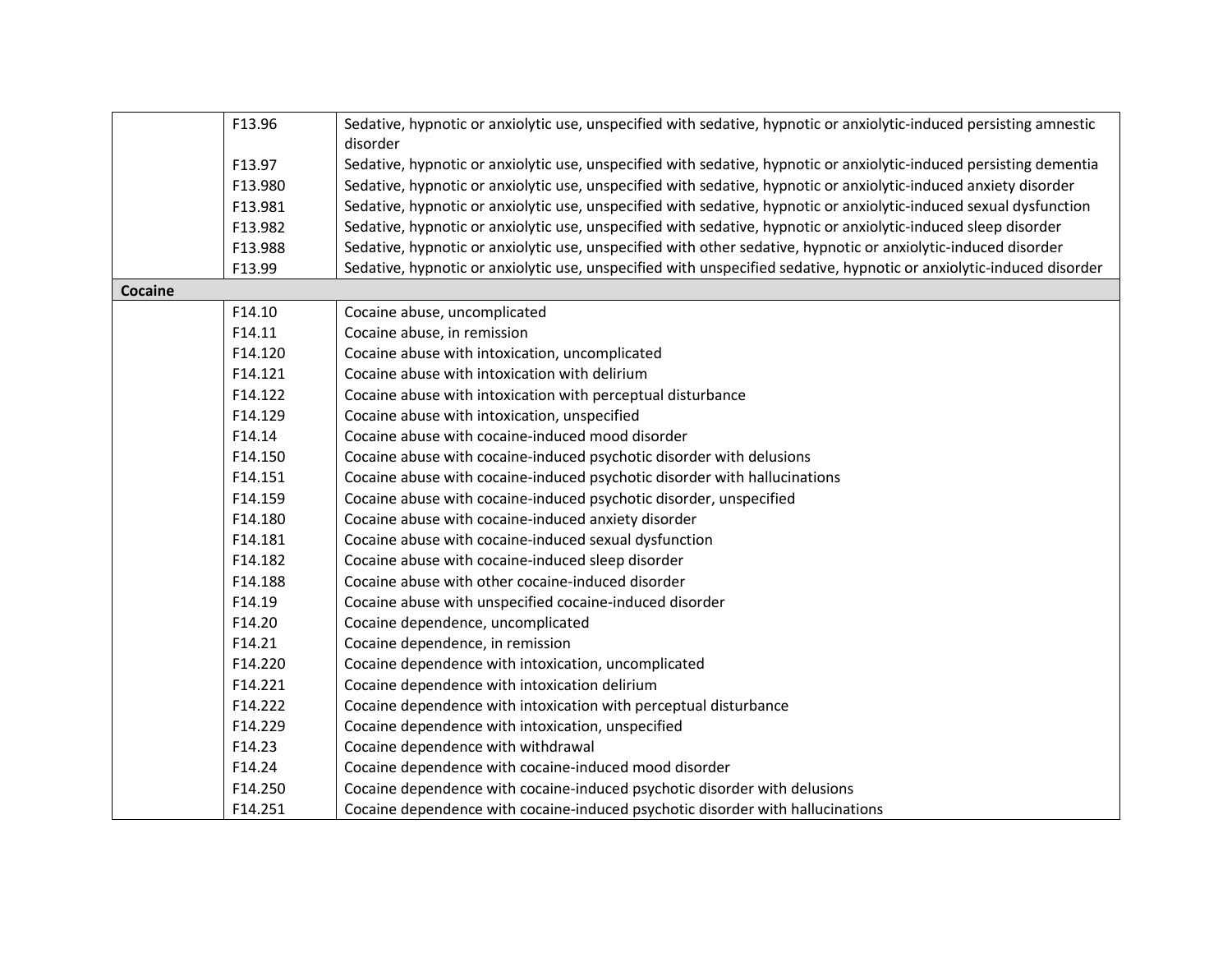|         | F13.96  |                                                                                                                                 |  |  |
|---------|---------|---------------------------------------------------------------------------------------------------------------------------------|--|--|
|         |         | Sedative, hypnotic or anxiolytic use, unspecified with sedative, hypnotic or anxiolytic-induced persisting amnestic<br>disorder |  |  |
|         | F13.97  | Sedative, hypnotic or anxiolytic use, unspecified with sedative, hypnotic or anxiolytic-induced persisting dementia             |  |  |
|         | F13.980 | Sedative, hypnotic or anxiolytic use, unspecified with sedative, hypnotic or anxiolytic-induced anxiety disorder                |  |  |
|         | F13.981 | Sedative, hypnotic or anxiolytic use, unspecified with sedative, hypnotic or anxiolytic-induced sexual dysfunction              |  |  |
|         | F13.982 | Sedative, hypnotic or anxiolytic use, unspecified with sedative, hypnotic or anxiolytic-induced sleep disorder                  |  |  |
|         | F13.988 | Sedative, hypnotic or anxiolytic use, unspecified with other sedative, hypnotic or anxiolytic-induced disorder                  |  |  |
|         | F13.99  | Sedative, hypnotic or anxiolytic use, unspecified with unspecified sedative, hypnotic or anxiolytic-induced disorder            |  |  |
| Cocaine |         |                                                                                                                                 |  |  |
|         | F14.10  | Cocaine abuse, uncomplicated                                                                                                    |  |  |
|         | F14.11  | Cocaine abuse, in remission                                                                                                     |  |  |
|         | F14.120 | Cocaine abuse with intoxication, uncomplicated                                                                                  |  |  |
|         | F14.121 | Cocaine abuse with intoxication with delirium                                                                                   |  |  |
|         | F14.122 | Cocaine abuse with intoxication with perceptual disturbance                                                                     |  |  |
|         | F14.129 | Cocaine abuse with intoxication, unspecified                                                                                    |  |  |
|         | F14.14  | Cocaine abuse with cocaine-induced mood disorder                                                                                |  |  |
|         | F14.150 | Cocaine abuse with cocaine-induced psychotic disorder with delusions                                                            |  |  |
|         | F14.151 | Cocaine abuse with cocaine-induced psychotic disorder with hallucinations                                                       |  |  |
|         | F14.159 | Cocaine abuse with cocaine-induced psychotic disorder, unspecified                                                              |  |  |
|         | F14.180 | Cocaine abuse with cocaine-induced anxiety disorder                                                                             |  |  |
|         | F14.181 | Cocaine abuse with cocaine-induced sexual dysfunction                                                                           |  |  |
|         | F14.182 | Cocaine abuse with cocaine-induced sleep disorder                                                                               |  |  |
|         | F14.188 | Cocaine abuse with other cocaine-induced disorder                                                                               |  |  |
|         | F14.19  | Cocaine abuse with unspecified cocaine-induced disorder                                                                         |  |  |
|         | F14.20  | Cocaine dependence, uncomplicated                                                                                               |  |  |
|         | F14.21  | Cocaine dependence, in remission                                                                                                |  |  |
|         | F14.220 | Cocaine dependence with intoxication, uncomplicated                                                                             |  |  |
|         | F14.221 | Cocaine dependence with intoxication delirium                                                                                   |  |  |
|         | F14.222 | Cocaine dependence with intoxication with perceptual disturbance                                                                |  |  |
|         | F14.229 | Cocaine dependence with intoxication, unspecified                                                                               |  |  |
|         | F14.23  | Cocaine dependence with withdrawal                                                                                              |  |  |
|         | F14.24  | Cocaine dependence with cocaine-induced mood disorder                                                                           |  |  |
|         | F14.250 | Cocaine dependence with cocaine-induced psychotic disorder with delusions                                                       |  |  |
|         | F14.251 | Cocaine dependence with cocaine-induced psychotic disorder with hallucinations                                                  |  |  |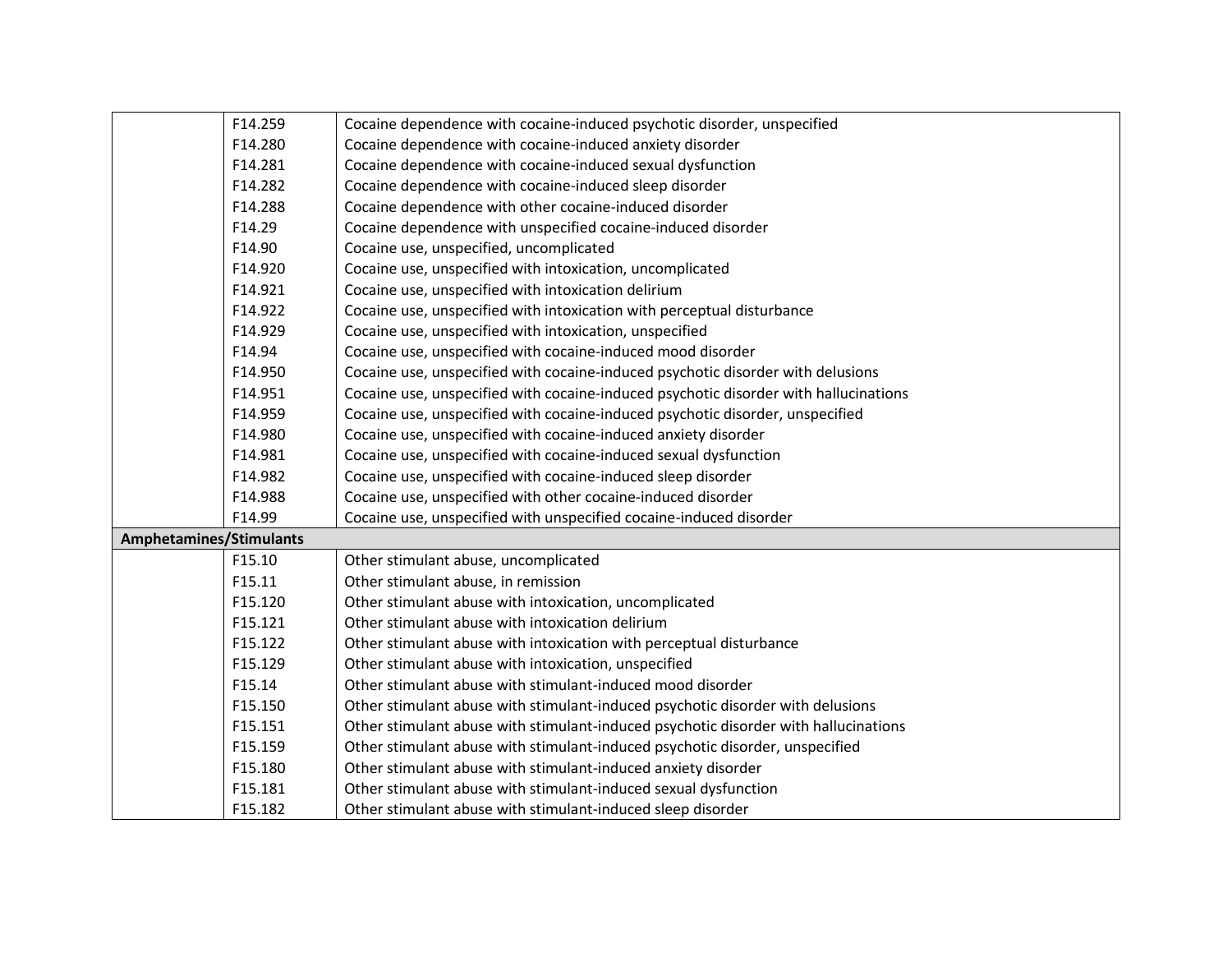|                                | F14.259 | Cocaine dependence with cocaine-induced psychotic disorder, unspecified              |
|--------------------------------|---------|--------------------------------------------------------------------------------------|
|                                | F14.280 | Cocaine dependence with cocaine-induced anxiety disorder                             |
|                                | F14.281 | Cocaine dependence with cocaine-induced sexual dysfunction                           |
|                                | F14.282 | Cocaine dependence with cocaine-induced sleep disorder                               |
|                                | F14.288 | Cocaine dependence with other cocaine-induced disorder                               |
|                                | F14.29  | Cocaine dependence with unspecified cocaine-induced disorder                         |
|                                | F14.90  | Cocaine use, unspecified, uncomplicated                                              |
|                                | F14.920 | Cocaine use, unspecified with intoxication, uncomplicated                            |
|                                | F14.921 | Cocaine use, unspecified with intoxication delirium                                  |
|                                | F14.922 | Cocaine use, unspecified with intoxication with perceptual disturbance               |
|                                | F14.929 | Cocaine use, unspecified with intoxication, unspecified                              |
|                                | F14.94  | Cocaine use, unspecified with cocaine-induced mood disorder                          |
|                                | F14.950 | Cocaine use, unspecified with cocaine-induced psychotic disorder with delusions      |
|                                | F14.951 | Cocaine use, unspecified with cocaine-induced psychotic disorder with hallucinations |
|                                | F14.959 | Cocaine use, unspecified with cocaine-induced psychotic disorder, unspecified        |
|                                | F14.980 | Cocaine use, unspecified with cocaine-induced anxiety disorder                       |
|                                | F14.981 | Cocaine use, unspecified with cocaine-induced sexual dysfunction                     |
|                                | F14.982 | Cocaine use, unspecified with cocaine-induced sleep disorder                         |
|                                | F14.988 | Cocaine use, unspecified with other cocaine-induced disorder                         |
|                                | F14.99  | Cocaine use, unspecified with unspecified cocaine-induced disorder                   |
| <b>Amphetamines/Stimulants</b> |         |                                                                                      |
|                                | F15.10  | Other stimulant abuse, uncomplicated                                                 |
|                                | F15.11  | Other stimulant abuse, in remission                                                  |
|                                | F15.120 | Other stimulant abuse with intoxication, uncomplicated                               |
|                                | F15.121 | Other stimulant abuse with intoxication delirium                                     |
|                                | F15.122 | Other stimulant abuse with intoxication with perceptual disturbance                  |
|                                | F15.129 | Other stimulant abuse with intoxication, unspecified                                 |
|                                | F15.14  | Other stimulant abuse with stimulant-induced mood disorder                           |
|                                | F15.150 | Other stimulant abuse with stimulant-induced psychotic disorder with delusions       |
|                                | F15.151 | Other stimulant abuse with stimulant-induced psychotic disorder with hallucinations  |
|                                | F15.159 | Other stimulant abuse with stimulant-induced psychotic disorder, unspecified         |
|                                | F15.180 | Other stimulant abuse with stimulant-induced anxiety disorder                        |
|                                | F15.181 | Other stimulant abuse with stimulant-induced sexual dysfunction                      |
| F15.182                        |         | Other stimulant abuse with stimulant-induced sleep disorder                          |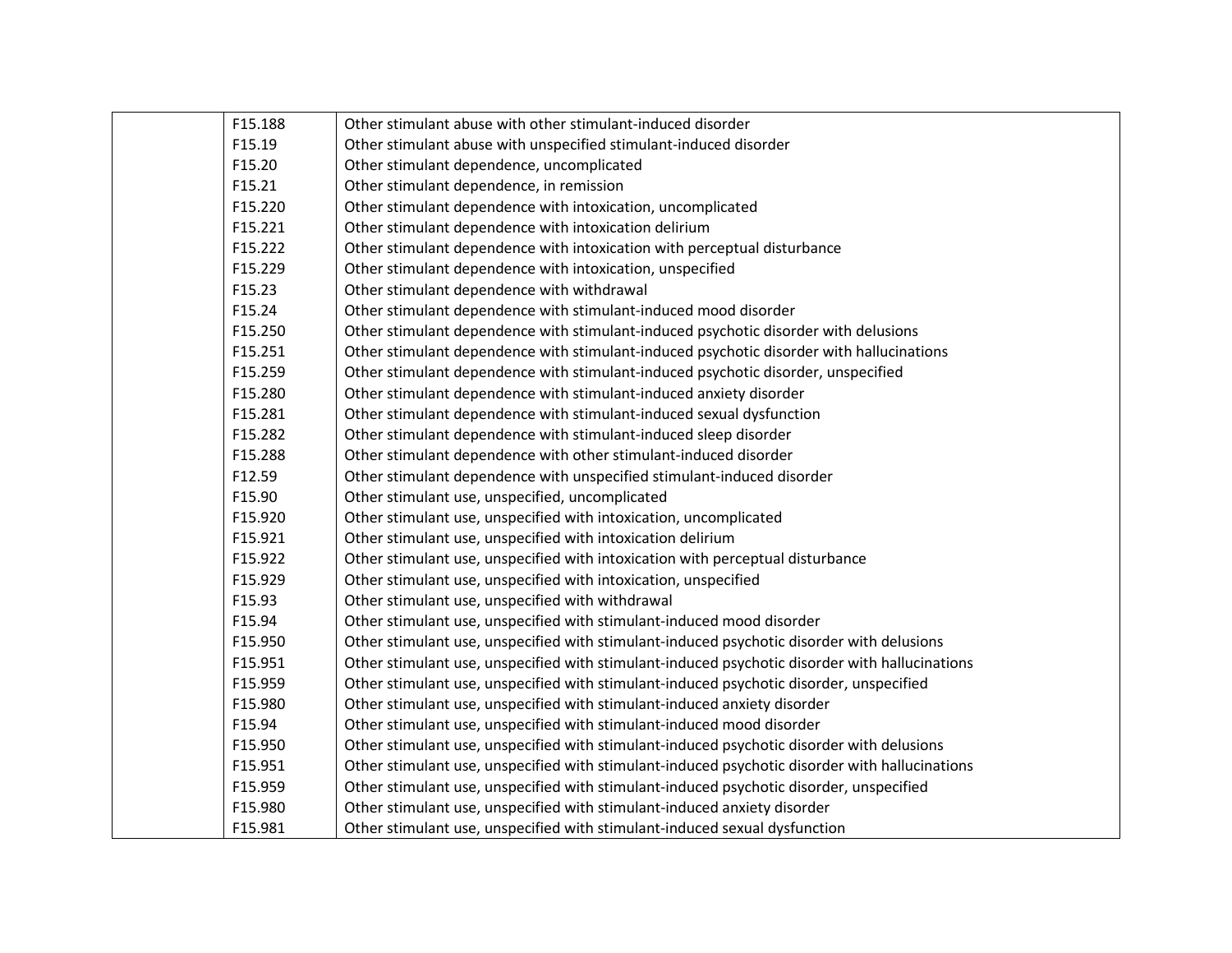|        | F15.188 | Other stimulant abuse with other stimulant-induced disorder                                    |
|--------|---------|------------------------------------------------------------------------------------------------|
|        | F15.19  | Other stimulant abuse with unspecified stimulant-induced disorder                              |
| F15.20 |         | Other stimulant dependence, uncomplicated                                                      |
|        | F15.21  | Other stimulant dependence, in remission                                                       |
|        | F15.220 | Other stimulant dependence with intoxication, uncomplicated                                    |
|        | F15.221 | Other stimulant dependence with intoxication delirium                                          |
|        | F15.222 | Other stimulant dependence with intoxication with perceptual disturbance                       |
|        | F15.229 | Other stimulant dependence with intoxication, unspecified                                      |
|        | F15.23  | Other stimulant dependence with withdrawal                                                     |
|        | F15.24  | Other stimulant dependence with stimulant-induced mood disorder                                |
|        | F15.250 | Other stimulant dependence with stimulant-induced psychotic disorder with delusions            |
|        | F15.251 | Other stimulant dependence with stimulant-induced psychotic disorder with hallucinations       |
|        | F15.259 | Other stimulant dependence with stimulant-induced psychotic disorder, unspecified              |
|        | F15.280 | Other stimulant dependence with stimulant-induced anxiety disorder                             |
|        | F15.281 | Other stimulant dependence with stimulant-induced sexual dysfunction                           |
|        | F15.282 | Other stimulant dependence with stimulant-induced sleep disorder                               |
|        | F15.288 | Other stimulant dependence with other stimulant-induced disorder                               |
|        | F12.59  | Other stimulant dependence with unspecified stimulant-induced disorder                         |
|        | F15.90  | Other stimulant use, unspecified, uncomplicated                                                |
|        | F15.920 | Other stimulant use, unspecified with intoxication, uncomplicated                              |
|        | F15.921 | Other stimulant use, unspecified with intoxication delirium                                    |
|        | F15.922 | Other stimulant use, unspecified with intoxication with perceptual disturbance                 |
|        | F15.929 | Other stimulant use, unspecified with intoxication, unspecified                                |
|        | F15.93  | Other stimulant use, unspecified with withdrawal                                               |
|        | F15.94  | Other stimulant use, unspecified with stimulant-induced mood disorder                          |
|        | F15.950 | Other stimulant use, unspecified with stimulant-induced psychotic disorder with delusions      |
|        | F15.951 | Other stimulant use, unspecified with stimulant-induced psychotic disorder with hallucinations |
|        | F15.959 | Other stimulant use, unspecified with stimulant-induced psychotic disorder, unspecified        |
|        | F15.980 | Other stimulant use, unspecified with stimulant-induced anxiety disorder                       |
|        | F15.94  | Other stimulant use, unspecified with stimulant-induced mood disorder                          |
|        | F15.950 | Other stimulant use, unspecified with stimulant-induced psychotic disorder with delusions      |
|        | F15.951 | Other stimulant use, unspecified with stimulant-induced psychotic disorder with hallucinations |
|        | F15.959 | Other stimulant use, unspecified with stimulant-induced psychotic disorder, unspecified        |
|        | F15.980 | Other stimulant use, unspecified with stimulant-induced anxiety disorder                       |
|        | F15.981 | Other stimulant use, unspecified with stimulant-induced sexual dysfunction                     |